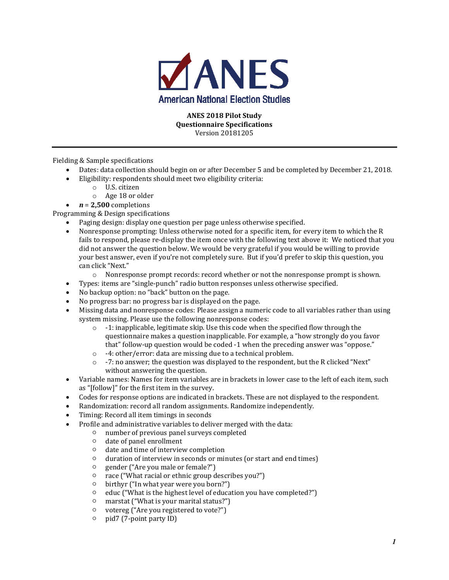

#### **ANES 2018 Pilot Study Questionnaire Specifications**  Version 20181205

Fielding & Sample specifications

- Dates: data collection should begin on or after December 5 and be completed by December 21, 2018.
- Eligibility: respondents should meet two eligibility criteria:
	- o U.S. citizen
	- o Age 18 or older
	- $n = 2,500$  completions

Programming & Design specifications

- Paging design: display one question per page unless otherwise specified.
- Nonresponse prompting: Unless otherwise noted for a specific item, for every item to which the R fails to respond, please re-display the item once with the following text above it: We noticed that you did not answer the question below. We would be very grateful if you would be willing to provide your best answer, even if you're not completely sure. But if you'd prefer to skip this question, you can click "Next."
	- o Nonresponse prompt records: record whether or not the nonresponse prompt is shown.
- Types: items are "single-punch" radio button responses unless otherwise specified.
- No backup option: no "back" button on the page.
- No progress bar: no progress bar is displayed on the page.
- Missing data and nonresponse codes: Please assign a numeric code to all variables rather than using system missing. Please use the following nonresponse codes:
	- $\circ$  -1: inapplicable, legitimate skip. Use this code when the specified flow through the questionnaire makes a question inapplicable. For example, a "how strongly do you favor that" follow-up question would be coded -1 when the preceding answer was "oppose."
	- o -4: other/error: data are missing due to a technical problem.
	- $\circ$  -7: no answer; the question was displayed to the respondent, but the R clicked "Next" without answering the question.
- Variable names: Names for item variables are in brackets in lower case to the left of each item, such as "[follow]" for the first item in the survey.
- Codes for response options are indicated in brackets. These are not displayed to the respondent.
- Randomization: record all random assignments. Randomize independently.
- Timing: Record all item timings in seconds
- Profile and administrative variables to deliver merged with the data:
	- number of previous panel surveys completed
	- date of panel enrollment
	- date and time of interview completion
	- duration of interview in seconds or minutes (or start and end times)
	- gender ("Are you male or female?")
	- race ("What racial or ethnic group describes you?")
	- birthyr ("In what year were you born?")
	- educ ("What is the highest level of education you have completed?")
	- marstat ("What is your marital status?")
	- votereg ("Are you registered to vote?")
	- pid7 (7-point party ID)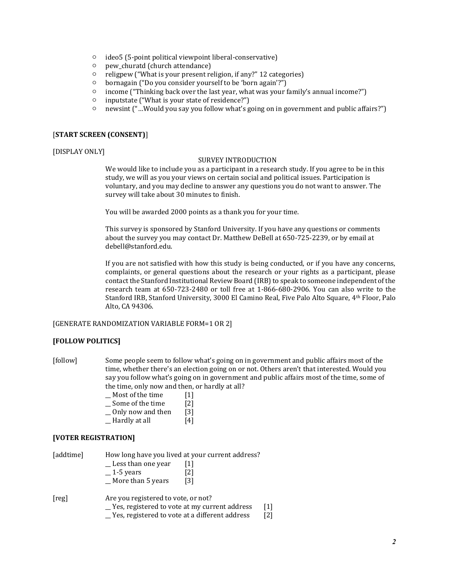- ideo5 (5-point political viewpoint liberal-conservative)
- pew\_churatd (church attendance)
- religpew ("What is your present religion, if any?" 12 categories)
- bornagain ("Do you consider yourself to be 'born again'?")
- income ("Thinking back over the last year, what was your family's annual income?")
- inputstate ("What is your state of residence?")
- newsint ("…Would you say you follow what's going on in government and public affairs?")

#### [**START SCREEN (CONSENT)**]

#### [DISPLAY ONLY]

#### SURVEY INTRODUCTION

We would like to include you as a participant in a research study. If you agree to be in this study, we will as you your views on certain social and political issues. Participation is voluntary, and you may decline to answer any questions you do not want to answer. The survey will take about 30 minutes to finish.

You will be awarded 2000 points as a thank you for your time.

This survey is sponsored by Stanford University. If you have any questions or comments about the survey you may contact Dr. Matthew DeBell at 650-725-2239, or by email at debell@stanford.edu.

If you are not satisfied with how this study is being conducted, or if you have any concerns, complaints, or general questions about the research or your rights as a participant, please contact the Stanford Institutional Review Board (IRB) to speak to someone independent of the research team at 650-723-2480 or toll free at 1-866-680-2906. You can also write to the Stanford IRB, Stanford University, 3000 El Camino Real, Five Palo Alto Square, 4th Floor, Palo Alto, CA 94306.

#### [GENERATE RANDOMIZATION VARIABLE FORM=1 OR 2]

#### **[FOLLOW POLITICS]**

- [follow] Some people seem to follow what's going on in government and public affairs most of the time, whether there's an election going on or not. Others aren't that interested. Would you say you follow what's going on in government and public affairs most of the time, some of the time, only now and then, or hardly at all?
	- \_\_ Most of the time [1]
	- \_\_ Some of the time [2]
	- Only now and then [3]
	- $\Box$  Hardly at all  $[4]$

#### **[VOTER REGISTRATION]**

| [addtime] | How long have you lived at your current address? |     |  |
|-----------|--------------------------------------------------|-----|--|
|           | Less than one year                               | 11  |  |
|           | $-1$ -5 years                                    | [2] |  |
|           | _ More than 5 years                              | [3] |  |
| [reg]     | Are you registered to vote, or not?              |     |  |

\_\_ Yes, registered to vote at my current address [1] \_\_ Yes, registered to vote at a different address [2]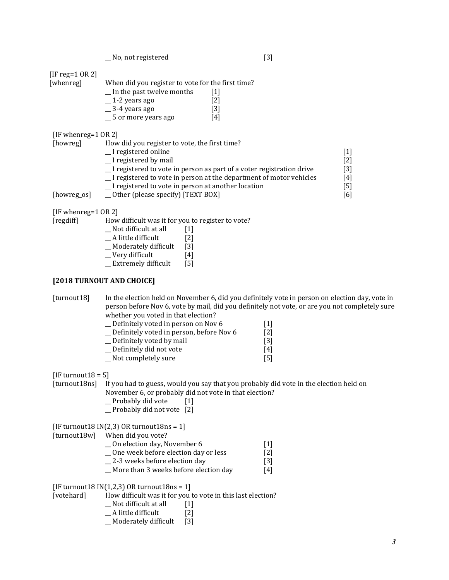\_\_ No, not registered [3]

[IF reg=1 OR 2]

| $1 - 1 - 1 = 0$ |                                                   |      |
|-----------------|---------------------------------------------------|------|
| [whenreg]       | When did you register to vote for the first time? |      |
|                 | In the past twelve months                         | 11 I |
|                 | $-1$ -2 years ago                                 | [2]  |
|                 | $\_$ 3-4 years ago                                | [3]  |
|                 | = 5 or more years ago                             | [4]  |

[IF whenreg=1 OR 2]

| [howreg]    | How did you register to vote, the first time?                         |     |
|-------------|-----------------------------------------------------------------------|-----|
|             | _I registered online                                                  |     |
|             | I registered by mail                                                  | [2] |
|             | _I registered to vote in person as part of a voter registration drive | [3] |
|             | _I registered to vote in person at the department of motor vehicles   | [4] |
|             | I registered to vote in person at another location                    | [5] |
| [howreg_os] | $\angle$ Other (please specify) [TEXT BOX]                            | [6] |

[IF whenreg=1 OR 2]

 $[regular]$ 

| How difficult was it for you to register to vote? |  |
|---------------------------------------------------|--|
|---------------------------------------------------|--|

|  | Not difficult at all | $[1]$ |
|--|----------------------|-------|
|  |                      |       |

- \_\_ A little difficult [2]
- \_\_ Moderately difficult [3]
- \_\_ Very difficult [4]
- \_\_ Extremely difficult [5]

#### **[2018 TURNOUT AND CHOICE]**

[turnout18] In the election held on November 6, did you definitely vote in person on election day, vote in person before Nov 6, vote by mail, did you definitely not vote, or are you not completely sure whether you voted in that election?

| Definitely voted in person on Nov 6      | 111 |
|------------------------------------------|-----|
| Definitely voted in person, before Nov 6 | [2] |
| Definitely voted by mail                 | [3] |
| Definitely did not vote                  | [4] |
| Not completely sure                      | [5] |

 $[IF$  turnout $18 = 5]$ 

[turnout18ns] If you had to guess, would you say that you probably did vote in the election held on November 6, or probably did not vote in that election?

- \_\_ Probably did vote [1]
- \_\_ Probably did not vote [2]

[IF turnout18  $IN(2,3)$  OR turnout18ns = 1]

[turnout18w] When did you vote?

\_\_ On election day, November 6 [1] \_\_ One week before election day or less [2] \_\_ 2-3 weeks before election day [3] \_\_ More than 3 weeks before election day [4]

[IF turnout18  $IN(1,2,3)$  OR turnout18ns = 1]

[votehard] How difficult was it for you to vote in this last election?

- \_\_ Not difficult at all [1]
- \_\_ A little difficult [2]
- \_\_ Moderately difficult [3]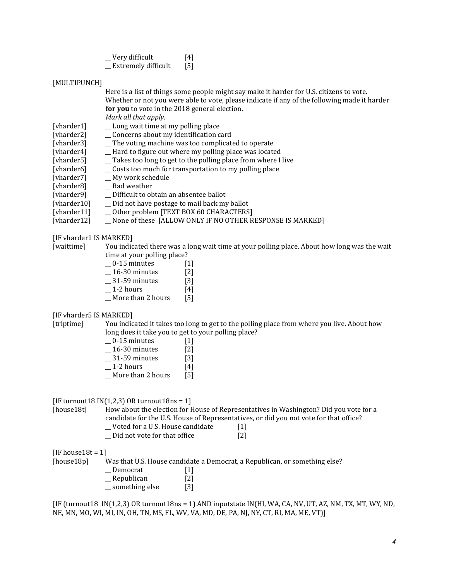| Very difficult             | [4] |
|----------------------------|-----|
| <b>Extremely difficult</b> | [5] |

#### [MULTIPUNCH]

| Here is a list of things some people might say make it harder for U.S. citizens to vote.     |
|----------------------------------------------------------------------------------------------|
| Whether or not you were able to vote, please indicate if any of the following made it harder |
| <b>for you</b> to vote in the 2018 general election.                                         |
| Mark all that apply.                                                                         |

- [vharder1] \_\_ Long wait time at my polling place
- [vharder2] Concerns about my identification card
- [vharder3]  $\qquad$  \_The voting machine was too complicated to operate
- [vharder4] \_\_\_ Hard to figure out where my polling place was located
- [vharder5] \_\_ Takes too long to get to the polling place from where I live
	- $\Box$  Costs too much for transportation to my polling place
- [vharder7] \_\_ My work schedule
- [vharder8] \_\_ Bad weather
- [vharder9] \_\_ Difficult to obtain an absentee ballot
- [vharder10] \_\_ Did not have postage to mail back my ballot
- [vharder11] \_\_\_ Other problem [TEXT BOX 60 CHARACTERS]
- [vharder12] \_\_ None of these [ALLOW ONLY IF NO OTHER RESPONSE IS MARKED]

[IF vharder1 IS MARKED]

[waittime] You indicated there was a long wait time at your polling place. About how long was the wait time at your polling place?

| 0-15 minutes      | $[1]$ |
|-------------------|-------|
| 16-30 minutes     | [2]   |
| 31-59 minutes     | [3]   |
| 1-2 hours         | [4]   |
| More than 2 hours | [5]   |

[IF vharder5 IS MARKED]

[triptime] You indicated it takes too long to get to the polling place from where you live. About how long does it take you to get to your polling place?

| 0-15 minutes      | [1]               |
|-------------------|-------------------|
| 16-30 minutes     | $\lceil 2 \rceil$ |
| 31-59 minutes     | [3]               |
| 1-2 hours         | [4]               |
| More than 2 hours | [5]               |

[IF turnout18  $IN(1,2,3)$  OR turnout18ns = 1]

[house18t] How about the election for House of Representatives in Washington? Did you vote for a candidate for the U.S. House of Representatives, or did you not vote for that office? \_\_ Voted for a U.S. House candidate [1]

\_\_ Did not vote for that office [2]

 $[IF house18t = 1]$ 

[house18p] Was that U.S. House candidate a Democrat, a Republican, or something else? \_\_ Democrat [1] \_\_ Republican [2] \_\_ something else [3]

[IF (turnout18 IN(1,2,3) OR turnout18ns = 1) AND inputstate IN(HI, WA, CA, NV, UT, AZ, NM, TX, MT, WY, ND, NE, MN, MO, WI, MI, IN, OH, TN, MS, FL, WV, VA, MD, DE, PA, NJ, NY, CT, RI, MA, ME, VT)]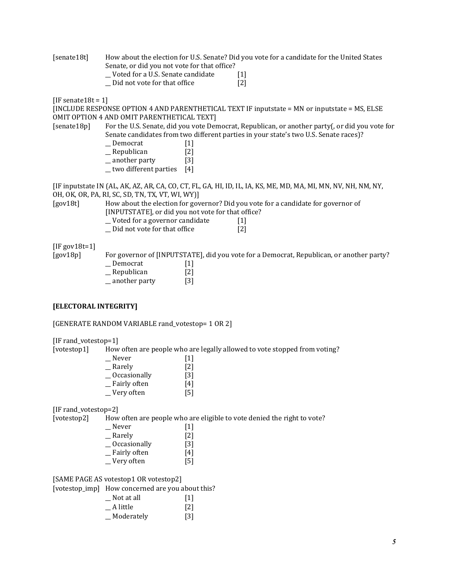[senate18t] How about the election for U.S. Senate? Did you vote for a candidate for the United States Senate, or did you not vote for that office? \_\_ Voted for a U.S. Senate candidate [1]

\_\_ Did not vote for that office [2]

 $[IF$  senate  $18t = 1]$ 

[INCLUDE RESPONSE OPTION 4 AND PARENTHETICAL TEXT IF inputstate = MN or inputstate = MS, ELSE OMIT OPTION 4 AND OMIT PARENTHETICAL TEXT]

[senate18p] For the U.S. Senate, did you vote Democrat, Republican, or another party(, or did you vote for Senate candidates from two different parties in your state's two U.S. Senate races)?

- \_\_ Democrat [1] \_\_ Republican [2] \_another party [3]
- $_$  two different parties  $[4]$

[IF inputstate IN (AL, AK, AZ, AR, CA, CO, CT, FL, GA, HI, ID, IL, IA, KS, ME, MD, MA, MI, MN, NV, NH, NM, NY, OH, OK, OR, PA, RI, SC, SD, TN, TX, VT, WI, WY)]

[gov18t] How about the election for governor? Did you vote for a candidate for governor of [INPUTSTATE], or did you not vote for that office?

- \_\_ Voted for a governor candidate [1]
- \_\_ Did not vote for that office [2]

[IF gov18t=1]

[gov18p] For governor of [INPUTSTATE], did you vote for a Democrat, Republican, or another party? \_Democrat [1]

\_\_ Republican [2] \_\_ another party [3]

#### **[ELECTORAL INTEGRITY]**

[GENERATE RANDOM VARIABLE rand\_votestop= 1 OR 2]

[IF rand\_votestop=1]

[votestop1] How often are people who are legally allowed to vote stopped from voting?

| Never        | $[1]$             |
|--------------|-------------------|
| Rarely       | $[2]$             |
| Occasionally | $\lceil 3 \rceil$ |
| Fairly often | [4]               |
| Very often   | [5]               |

[IF rand\_votestop=2]

[votestop2] How often are people who are eligible to vote denied the right to vote?

| $[1]$             |
|-------------------|
| $\lceil 2 \rceil$ |
| [3]               |
| [4]               |
| [5]               |
|                   |

[SAME PAGE AS votestop1 OR votestop2]

[votestop\_imp] How concerned are you about this?

| Not at all   | $\lceil 1 \rceil$ |
|--------------|-------------------|
| A little     | $\lceil 2 \rceil$ |
| _ Moderately | [3]               |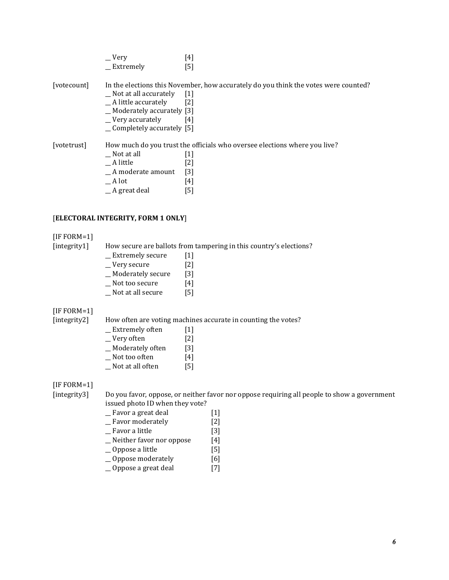|             | $\mathsf{V}$ ery<br>_Extremely                                                                                                        | $\left[4\right]$<br>[5]                                                                                                              |
|-------------|---------------------------------------------------------------------------------------------------------------------------------------|--------------------------------------------------------------------------------------------------------------------------------------|
| [votecount] | Not at all accurately<br>_A little accurately<br>_Moderately accurately [3]<br>_Very accurately<br>$\equiv$ Completely accurately [5] | In the elections this November, how accurately do you think the votes were counted?<br>$\lceil 1 \rceil$<br>$\lceil 2 \rceil$<br>[4] |
| [votetrust] | Not at all<br>A little<br>A moderate amount<br>A lot<br>A great deal                                                                  | How much do you trust the officials who oversee elections where you live?<br>$\lfloor 1 \rfloor$<br>[2]<br>$[3]$<br>[4]<br>[5]       |

#### [**ELECTORAL INTEGRITY, FORM 1 ONLY**]

#### [IF FORM=1]

[integrity1] How secure are ballots from tampering in this country's elections?

| Extremely secure  | $[1]$             |
|-------------------|-------------------|
| Very secure       | $\lceil 2 \rceil$ |
| Moderately secure | [3]               |
| Not too secure    | [4]               |

\_\_ Not at all secure [5]

### [IF FORM=1]

[integrity2] How often are voting machines accurate in counting the votes?

| <b>Extremely often</b> | $[1]$             |
|------------------------|-------------------|
| Very often             | $\lceil 2 \rceil$ |
| Moderately often       | [3]               |
| Not too often          | [4]               |

\_\_ Not at all often [5]

[IF FORM=1]

[integrity3] Do you favor, oppose, or neither favor nor oppose requiring all people to show a government issued photo ID when they vote?

- \_\_ Favor a great deal [1]
- \_\_ Favor moderately [2]
- \_\_ Favor a little [3]
- $\equiv$  Neither favor nor oppose [4]
- \_\_ Oppose a little [5]
- \_\_ Oppose moderately [6]
- \_\_ Oppose a great deal [7]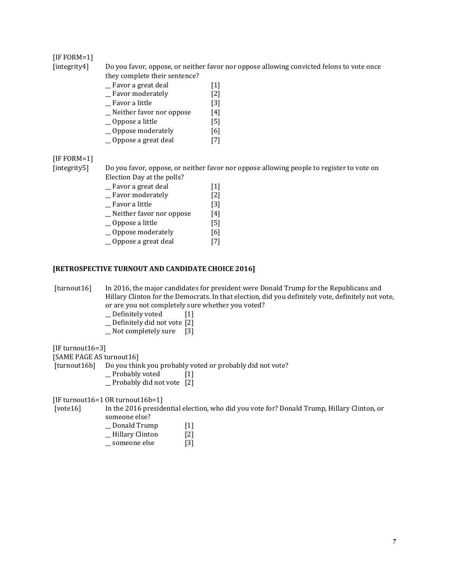#### [IF FORM=1]

- [integrity4] Do you favor, oppose, or neither favor nor oppose allowing convicted felons to vote once
	- they complete their sentence?
		- \_\_ Favor a great deal [1]
		- \_\_ Favor moderately [2]
		- \_\_ Favor a little [3] \_\_ Neither favor nor oppose [4]
		- \_\_ Oppose a little [5]
		- \_\_ Oppose moderately [6]
		- \_\_ Oppose a great deal [7]

### [IF FORM=1]

[integrity5] Do you favor, oppose, or neither favor nor oppose allowing people to register to vote on Election Day at the polls?

| _ Favor a great deal       | $[1]$             |
|----------------------------|-------------------|
| _Favor moderately          | $\lceil 2 \rceil$ |
| _ Favor a little           | $\lceil 3 \rceil$ |
| _Neither favor nor oppose  | [4]               |
| $\Box$ Oppose a little     | [5]               |
| $\equiv$ Oppose moderately | [6]               |
| _Oppose a great deal       | 17 I              |
|                            |                   |

#### **[RETROSPECTIVE TURNOUT AND CANDIDATE CHOICE 2016]**

[turnout16] In 2016, the major candidates for president were Donald Trump for the Republicans and Hillary Clinton for the Democrats. In that election, did you definitely vote, definitely not vote, or are you not completely sure whether you voted?

- \_\_ Definitely voted [1]
- \_\_ Definitely did not vote [2]
- \_\_ Not completely sure [3]

[IF turnout16=3]

[SAME PAGE AS turnout16]

[turnout16b] Do you think you probably voted or probably did not vote?

- \_\_ Probably voted [1]
- \_\_ Probably did not vote [2]

[IF turnout16=1 OR turnout16b=1]

[vote16] In the 2016 presidential election, who did you vote for? Donald Trump, Hillary Clinton, or sone else?

| someone eise?          |                   |
|------------------------|-------------------|
| Donald Trump           | $\lceil 1 \rceil$ |
| <b>Hillary Clinton</b> | $[2]$             |

\_\_ someone else [3]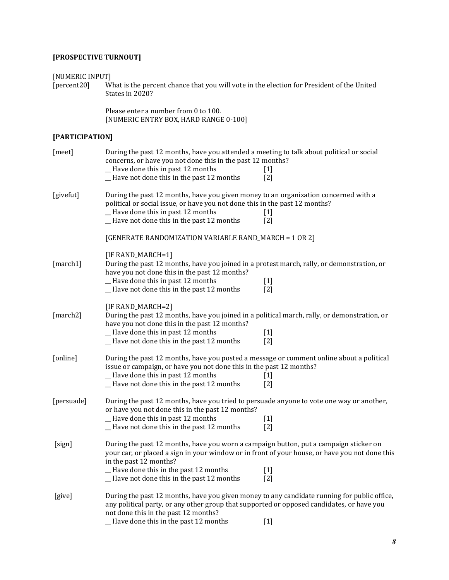# **[PROSPECTIVE TURNOUT]**

[NUMERIC INPUT]<br>[percent20] W [percent20] What is the percent chance that you will vote in the election for President of the United States in 2020?

> Please enter a number from 0 to 100. [NUMERIC ENTRY BOX, HARD RANGE 0-100]

### **[PARTICIPATION]**

| [meet]     | During the past 12 months, have you attended a meeting to talk about political or social<br>concerns, or have you not done this in the past 12 months?<br>_Have done this in past 12 months<br>-Have not done this in the past 12 months                                                                | $[1]$<br>$\lceil 2 \rceil$ |
|------------|---------------------------------------------------------------------------------------------------------------------------------------------------------------------------------------------------------------------------------------------------------------------------------------------------------|----------------------------|
| [givefut]  | During the past 12 months, have you given money to an organization concerned with a<br>political or social issue, or have you not done this in the past 12 months?<br>_Have done this in past 12 months<br>_Have not done this in the past 12 months                                                    | $[1]$<br>$\lceil 2 \rceil$ |
|            | [GENERATE RANDOMIZATION VARIABLE RAND_MARCH = 1 OR 2]                                                                                                                                                                                                                                                   |                            |
| [march1]   | [IF RAND_MARCH=1]<br>During the past 12 months, have you joined in a protest march, rally, or demonstration, or<br>have you not done this in the past 12 months?<br>-Have done this in past 12 months<br>-Have not done this in the past 12 months                                                      | $[1]$<br>$\lceil 2 \rceil$ |
| [march2]   | [IF RAND_MARCH=2]<br>During the past 12 months, have you joined in a political march, rally, or demonstration, or<br>have you not done this in the past 12 months?<br>-Have done this in past 12 months<br>-Have not done this in the past 12 months                                                    | $[1]$<br>[2]               |
| [online]   | During the past 12 months, have you posted a message or comment online about a political<br>issue or campaign, or have you not done this in the past 12 months?<br>_Have done this in past 12 months<br>_Have not done this in the past 12 months                                                       | $[1]$<br>$\lceil 2 \rceil$ |
| [persuade] | During the past 12 months, have you tried to persuade anyone to vote one way or another,<br>or have you not done this in the past 12 months?<br>-Have done this in past 12 months<br>-Have not done this in the past 12 months                                                                          | $[1]$<br>$\lceil 2 \rceil$ |
| [sign]     | During the past 12 months, have you worn a campaign button, put a campaign sticker on<br>your car, or placed a sign in your window or in front of your house, or have you not done this<br>in the past 12 months?<br>-Have done this in the past 12 months<br>-Have not done this in the past 12 months | $[1]$<br>$\lceil 2 \rceil$ |
| [give]     | During the past 12 months, have you given money to any candidate running for public office,<br>any political party, or any other group that supported or opposed candidates, or have you<br>not done this in the past 12 months?<br>_Have done this in the past 12 months                               | $[1]$                      |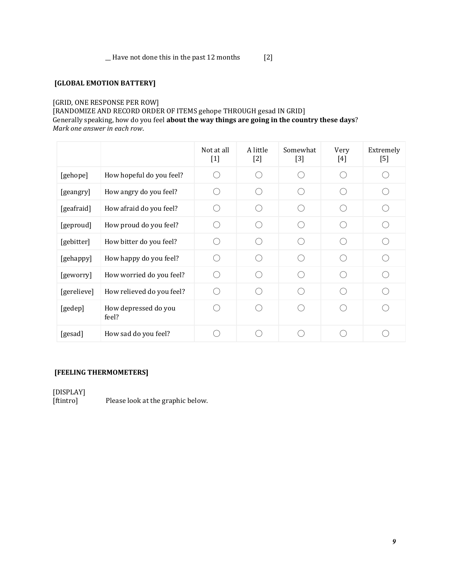\_\_ Have not done this in the past 12 months [2]

## **[GLOBAL EMOTION BATTERY]**

#### [GRID, ONE RESPONSE PER ROW]

[RANDOMIZE AND RECORD ORDER OF ITEMS gehope THROUGH gesad IN GRID] Generally speaking, how do you feel **about the way things are going in the country these days**? *Mark one answer in each row*.

|             |                               | Not at all<br>$[1]$ | A little<br>$[2]$ | Somewhat<br>$[3]$ | Very<br>[4] | Extremely<br>$[5]$ |
|-------------|-------------------------------|---------------------|-------------------|-------------------|-------------|--------------------|
| [gehope]    | How hopeful do you feel?      |                     |                   |                   |             |                    |
| [geangry]   | How angry do you feel?        |                     |                   |                   |             |                    |
| [geafraid]  | How afraid do you feel?       |                     |                   |                   |             |                    |
| [geproud]   | How proud do you feel?        |                     |                   |                   |             |                    |
| [gebitter]  | How bitter do you feel?       |                     |                   |                   |             |                    |
| [gehappy]   | How happy do you feel?        |                     |                   |                   |             |                    |
| [geworry]   | How worried do you feel?      |                     |                   |                   |             |                    |
| [gerelieve] | How relieved do you feel?     |                     |                   |                   |             |                    |
| [gedep]     | How depressed do you<br>feel? |                     |                   |                   |             |                    |
| [gesad]     | How sad do you feel?          |                     |                   |                   |             |                    |

## **[FEELING THERMOMETERS]**

[DISPLAY]<br>[ftintro] Please look at the graphic below.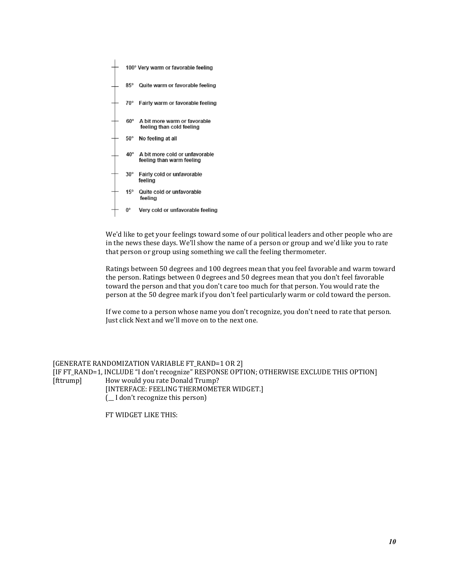

We'd like to get your feelings toward some of our political leaders and other people who are in the news these days. We'll show the name of a person or group and we'd like you to rate that person or group using something we call the feeling thermometer.

Ratings between 50 degrees and 100 degrees mean that you feel favorable and warm toward the person. Ratings between 0 degrees and 50 degrees mean that you don't feel favorable toward the person and that you don't care too much for that person. You would rate the person at the 50 degree mark if you don't feel particularly warm or cold toward the person.

If we come to a person whose name you don't recognize, you don't need to rate that person. Just click Next and we'll move on to the next one.

[GENERATE RANDOMIZATION VARIABLE FT\_RAND=1 OR 2] [IF FT\_RAND=1, INCLUDE "I don't recognize" RESPONSE OPTION; OTHERWISE EXCLUDE THIS OPTION] [fttrump] How would you rate Donald Trump? [INTERFACE: FEELING THERMOMETER WIDGET.] (\_\_ I don't recognize this person)

FT WIDGET LIKE THIS: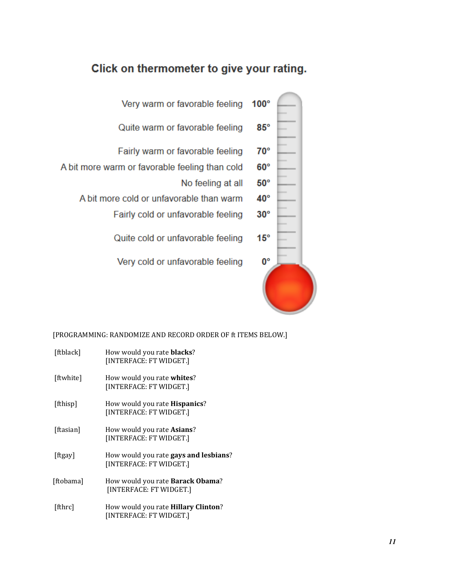# Click on thermometer to give your rating.

| Very warm or favorable feeling                 | $100^\circ$  |  |
|------------------------------------------------|--------------|--|
| Quite warm or favorable feeling                | $85^\circ$   |  |
| Fairly warm or favorable feeling               | $70^{\circ}$ |  |
| A bit more warm or favorable feeling than cold | $60^\circ$   |  |
| No feeling at all                              | $50^{\circ}$ |  |
| A bit more cold or unfavorable than warm       | $40^{\circ}$ |  |
| Fairly cold or unfavorable feeling             | $30^{\circ}$ |  |
| Quite cold or unfavorable feeling              | $15^{\circ}$ |  |
| Very cold or unfavorable feeling               | 0°           |  |
|                                                |              |  |

# [PROGRAMMING: RANDOMIZE AND RECORD ORDER OF ft ITEMS BELOW.]

| [ftblack] | How would you rate <b>blacks</b> ?<br>[INTERFACE: FT WIDGET.]            |
|-----------|--------------------------------------------------------------------------|
| [ftwhite] | How would you rate <b>whites</b> ?<br>[INTERFACE: FT WIDGET.]            |
| [fthisp]  | How would you rate <b>Hispanics</b> ?<br>[INTERFACE: FT WIDGET.]         |
| [ftasian] | How would you rate Asians?<br>[INTERFACE: FT WIDGET.]                    |
| [ftgay]   | How would you rate <b>gays and lesbians</b> ?<br>[INTERFACE: FT WIDGET.] |
| [ftobama] | How would you rate <b>Barack Obama</b> ?<br>[INTERFACE: FT WIDGET.]      |
| [fthrc]   | How would you rate Hillary Clinton?<br>[INTERFACE: FT WIDGET.]           |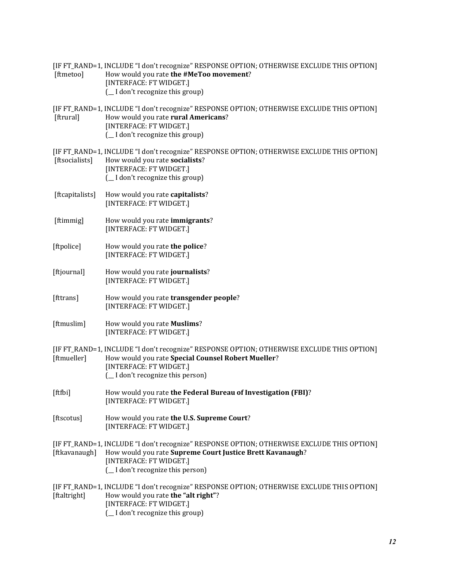| [ftmetoo]       | [IF FT_RAND=1, INCLUDE "I don't recognize" RESPONSE OPTION; OTHERWISE EXCLUDE THIS OPTION]<br>How would you rate the #MeToo movement?<br>[INTERFACE: FT WIDGET.]<br>( I don't recognize this group)                     |
|-----------------|-------------------------------------------------------------------------------------------------------------------------------------------------------------------------------------------------------------------------|
| [ftrural]       | [IF FT_RAND=1, INCLUDE "I don't recognize" RESPONSE OPTION; OTHERWISE EXCLUDE THIS OPTION]<br>How would you rate rural Americans?<br>[INTERFACE: FT WIDGET.]<br>( _I don't recognize this group)                        |
| [ftsocialists]  | [IF FT_RAND=1, INCLUDE "I don't recognize" RESPONSE OPTION; OTHERWISE EXCLUDE THIS OPTION]<br>How would you rate socialists?<br>[INTERFACE: FT WIDGET.]<br>( _I don't recognize this group)                             |
| [ftcapitalists] | How would you rate capitalists?<br>[INTERFACE: FT WIDGET.]                                                                                                                                                              |
| [ftimmig]       | How would you rate immigrants?<br>[INTERFACE: FT WIDGET.]                                                                                                                                                               |
| [ftpolice]      | How would you rate the police?<br>[INTERFACE: FT WIDGET.]                                                                                                                                                               |
| [ftjournal]     | How would you rate journalists?<br>[INTERFACE: FT WIDGET.]                                                                                                                                                              |
| [fttrans]       | How would you rate transgender people?<br>[INTERFACE: FT WIDGET.]                                                                                                                                                       |
| [ftmuslim]      | How would you rate Muslims?<br>[INTERFACE: FT WIDGET.]                                                                                                                                                                  |
| [ftmueller]     | [IF FT_RAND=1, INCLUDE "I don't recognize" RESPONSE OPTION; OTHERWISE EXCLUDE THIS OPTION]<br>How would you rate Special Counsel Robert Mueller?<br>[INTERFACE: FT WIDGET.]<br>( _I don't recognize this person)        |
| [ftfbi]         | How would you rate the Federal Bureau of Investigation (FBI)?<br>[INTERFACE: FT WIDGET.]                                                                                                                                |
| [ftscotus]      | How would you rate the U.S. Supreme Court?<br>[INTERFACE: FT WIDGET.]                                                                                                                                                   |
| [ftkavanaugh]   | [IF FT_RAND=1, INCLUDE "I don't recognize" RESPONSE OPTION; OTHERWISE EXCLUDE THIS OPTION]<br>How would you rate Supreme Court Justice Brett Kavanaugh?<br>[INTERFACE: FT WIDGET.]<br>( _I don't recognize this person) |
| [ftaltright]    | [IF FT_RAND=1, INCLUDE "I don't recognize" RESPONSE OPTION; OTHERWISE EXCLUDE THIS OPTION]<br>How would you rate the "alt right"?<br>[INTERFACE: FT WIDGET.]<br>( _I don't recognize this group)                        |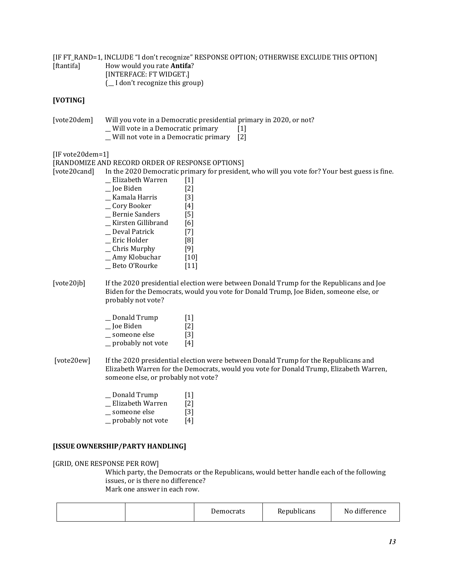[IF FT\_RAND=1, INCLUDE "I don't recognize" RESPONSE OPTION; OTHERWISE EXCLUDE THIS OPTION] [ftantifa] How would you rate **Antifa**? [INTERFACE: FT WIDGET.] (\_\_ I don't recognize this group)

#### **[VOTING]**

[vote20dem] Will you vote in a Democratic presidential primary in 2020, or not? \_\_ Will vote in a Democratic primary [1]

\_\_ Will not vote in a Democratic primary [2]

[IF vote20dem=1]

[RANDOMIZE AND RECORD ORDER OF RESPONSE OPTIONS] [vote20cand] In the 2020 Democratic primary for president, who will you vote for? Your best guess is fine. \_\_ Elizabeth Warren [1] \_\_ Joe Biden [2]  $\_$  Kamala Harris \_\_ Cory Booker [4] \_\_ Bernie Sanders [5] \_\_ Kirsten Gillibrand [6] \_\_ Deval Patrick [7] \_\_ Eric Holder [8] \_\_ Chris Murphy [9] \_\_ Amy Klobuchar [10] \_\_ Beto O'Rourke [11] [vote20jb] If the 2020 presidential election were between Donald Trump for the Republicans and Joe Biden for the Democrats, would you vote for Donald Trump, Joe Biden, someone else, or probably not vote? \_\_ Donald Trump [1]  $\Box$  Joe Biden \_\_ someone else [3] probably not vote [4]

- [vote20ew] If the 2020 presidential election were between Donald Trump for the Republicans and Elizabeth Warren for the Democrats, would you vote for Donald Trump, Elizabeth Warren, someone else, or probably not vote?
	- \_\_ Donald Trump [1]
	- \_\_ Elizabeth Warren [2]
	- someone else [3]
	- $\equiv$  probably not vote [4]

#### **[ISSUE OWNERSHIP/PARTY HANDLING]**

#### [GRID, ONE RESPONSE PER ROW]

Which party, the Democrats or the Republicans, would better handle each of the following issues, or is there no difference? Mark one answer in each row.

| Democrats | <b>Republicans</b> | 1.00<br>. .<br>N0<br>. diffe:<br>rence |
|-----------|--------------------|----------------------------------------|
|-----------|--------------------|----------------------------------------|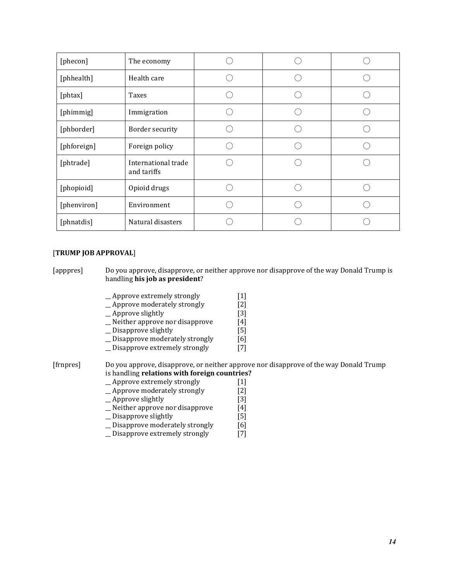| [phecon]    | The economy                        |  |  |
|-------------|------------------------------------|--|--|
| [phhealth]  | Health care                        |  |  |
| [phtax]     | Taxes                              |  |  |
| [phimmig]   | Immigration                        |  |  |
| [phborder]  | Border security                    |  |  |
| [phforeign] | Foreign policy                     |  |  |
| [phtrade]   | International trade<br>and tariffs |  |  |
| [phopioid]  | Opioid drugs                       |  |  |
| [phenviron] | Environment                        |  |  |
| [phnatdis]  | Natural disasters                  |  |  |

#### [**TRUMP JOB APPROVAL**]

[apppres] Do you approve, disapprove, or neither approve nor disapprove of the way Donald Trump is handling **his job as president**?

- 
- Approve extremely strongly [1]<br>  $\angle$  Approve moderately strongly [2] \_ Approve moderately strongly
- \_Approve slightly [3]
- \_\_ Neither approve nor disapprove [4]
- \_\_ Disapprove slightly [5]
- <sup>1</sup> Disapprove moderately strongly [6]<br><sup>1</sup> Disapprove extremely strongly [7]
- \_\_ Disapprove extremely strongly [7]

#### [frnpres] Do you approve, disapprove, or neither approve nor disapprove of the way Donald Trump is handling **relations with foreign countries?**

- 
- \_Approve extremely strongly [1]<br>
\_Approve moderately strongly [2] \_Approve moderately strongly [2]<br>
\_Approve slightly [3]
- $\overline{\phantom{a}}$  Approve slightly
- \_\_ Neither approve nor disapprove [4]
- \_\_ Disapprove slightly [5]
- \_ Disapprove moderately strongly [6]
- \_\_ Disapprove extremely strongly [7]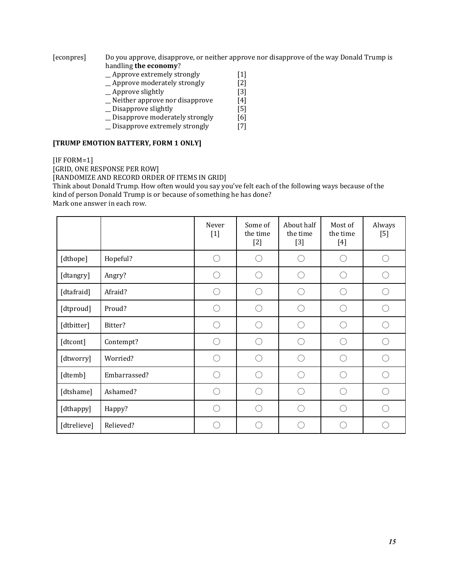[econpres] Do you approve, disapprove, or neither approve nor disapprove of the way Donald Trump is handling **the economy**?

- \_\_ Approve extremely strongly [1]
- \_Approve moderately strongly [2]
- 
- \_Approve slightly [3]<br>
\_Neither approve nor disapprove [4]  $\overline{\phantom{a}}$  Neither approve nor disapprove
- \_\_ Disapprove slightly [5]
- \_ Disapprove moderately strongly [6]
- \_\_ Disapprove extremely strongly [7]

#### **[TRUMP EMOTION BATTERY, FORM 1 ONLY]**

[IF FORM=1]

[GRID, ONE RESPONSE PER ROW]

[RANDOMIZE AND RECORD ORDER OF ITEMS IN GRID]

Think about Donald Trump. How often would you say you've felt each of the following ways because of the kind of person Donald Trump is or because of something he has done?

Mark one answer in each row.

|             |              | Never<br>$[1]$                                      | Some of<br>the time<br>$[2]$                  | About half<br>the time<br>$[3]$                     | Most of<br>the time<br>$[4]$    | Always<br>$[5]$                                     |
|-------------|--------------|-----------------------------------------------------|-----------------------------------------------|-----------------------------------------------------|---------------------------------|-----------------------------------------------------|
| [dthope]    | Hopeful?     | $( \ )$                                             | $\left( \begin{array}{c} \end{array} \right)$ | $\left( \quad \right)$                              |                                 |                                                     |
| [dtangry]   | Angry?       | . .                                                 |                                               | $(\quad)$                                           |                                 | $\left( \begin{array}{c} \cdot \end{array} \right)$ |
| [dtafraid]  | Afraid?      | $\left( \begin{array}{c} \end{array} \right)$       |                                               | $\left( \begin{array}{c} \cdot \end{array} \right)$ |                                 | (                                                   |
| [dtproud]   | Proud?       | $\left( \begin{array}{c} \end{array} \right)$       | $( \ )$                                       | $\bigcap$                                           | ⊖                               |                                                     |
| [dtbitter]  | Bitter?      | ()                                                  | $( \ )$                                       | ⌒                                                   | $\left(\begin{array}{c}\right)$ |                                                     |
| [dtcont]    | Contempt?    | $\left( \begin{array}{c} \cdot \end{array} \right)$ |                                               | ⌒                                                   | $\hat{\phantom{a}}$             | ⌒                                                   |
| [dtworry]   | Worried?     | $( \ )$                                             |                                               | ◯                                                   |                                 |                                                     |
| [dtemb]     | Embarrassed? | $(\ \ )$                                            |                                               | ◯                                                   |                                 | $\left( \begin{array}{c} \cdot \end{array} \right)$ |
| [dtshame]   | Ashamed?     | ()                                                  | ( )                                           | $\left(\begin{array}{c}\right)$                     | ⊖                               | ⌒                                                   |
| [dthappy]   | Happy?       | . .                                                 |                                               | $\left( \begin{array}{c} \cdot \end{array} \right)$ | ( )                             | ⌒                                                   |
| [dtrelieve] | Relieved?    |                                                     |                                               | 11                                                  |                                 |                                                     |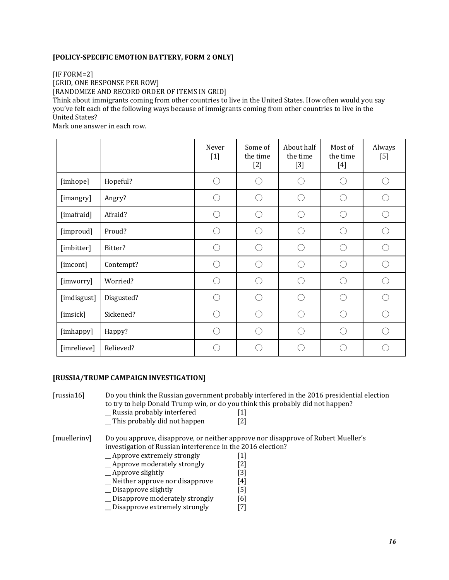#### **[POLICY-SPECIFIC EMOTION BATTERY, FORM 2 ONLY]**

[IF FORM=2]

[GRID, ONE RESPONSE PER ROW]

[RANDOMIZE AND RECORD ORDER OF ITEMS IN GRID]

Think about immigrants coming from other countries to live in the United States. How often would you say you've felt each of the following ways because of immigrants coming from other countries to live in the United States?

Mark one answer in each row.

|             |            | Never<br>$[1]$                                      | Some of<br>the time<br>$[2]$ | About half<br>the time<br>$[3]$                     | Most of<br>the time<br>$[4]$                        | Always<br>$[5]$ |
|-------------|------------|-----------------------------------------------------|------------------------------|-----------------------------------------------------|-----------------------------------------------------|-----------------|
| [imhope]    | Hopeful?   | ∩                                                   |                              | $\left(\begin{array}{c}\right)$                     |                                                     | ⌒               |
| [imangry]   | Angry?     | r.                                                  |                              | $(\ )$                                              |                                                     |                 |
| [imafraid]  | Afraid?    | $( \ )$                                             |                              | $(\ )$                                              | $\left( \begin{array}{c} \cdot \end{array} \right)$ |                 |
| [improud]   | Proud?     | $\left( \begin{array}{c} \cdot \end{array} \right)$ |                              | ⌒                                                   | ( `                                                 |                 |
| [imbitter]  | Bitter?    | ∩                                                   | ◠                            | ⌒                                                   | ⌒                                                   |                 |
| [imcont]    | Contempt?  | 0                                                   |                              | ⌒                                                   | ( `                                                 |                 |
| [imworry]   | Worried?   | ∩                                                   |                              | ⌒                                                   |                                                     |                 |
| [imdisgust] | Disgusted? | $\left( \begin{array}{c} \cdot \end{array} \right)$ |                              | $\left( \begin{array}{c} \cdot \end{array} \right)$ |                                                     |                 |
| [imsick]    | Sickened?  | r.                                                  |                              | .                                                   |                                                     |                 |
| [imhappy]   | Happy?     | 0                                                   |                              | ⌒                                                   |                                                     |                 |
| [imrelieve] | Relieved?  |                                                     |                              |                                                     |                                                     |                 |

#### **[RUSSIA/TRUMP CAMPAIGN INVESTIGATION]**

[russia16] Do you think the Russian government probably interfered in the 2016 presidential election to try to help Donald Trump win, or do you think this probably did not happen?

- 
- \_Russia probably interfered [1]<br>This probably did not happen [2]  $\overline{\phantom{a}}$  This probably did not happen

[muellerinv] Do you approve, disapprove, or neither approve nor disapprove of Robert Mueller's investigation of Russian interference in the 2016 election?

- \_\_ Approve extremely strongly [1]
- \_\_ Approve moderately strongly [2]
- \_\_ Approve slightly [3]
- \_\_ Neither approve nor disapprove [4]
- \_\_ Disapprove slightly [5]
- \_ Disapprove moderately strongly [6]
- \_\_ Disapprove extremely strongly [7]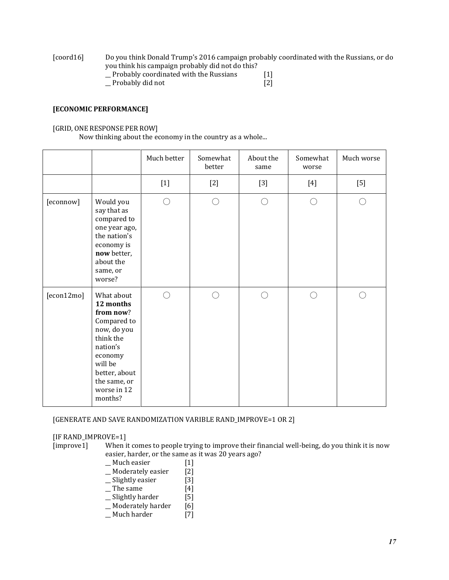[coord16] Do you think Donald Trump's 2016 campaign probably coordinated with the Russians, or do you think his campaign probably did not do this? \_\_ Probably coordinated with the Russians [1]

\_\_ Probably did not [2]

#### **[ECONOMIC PERFORMANCE]**

#### [GRID, ONE RESPONSE PER ROW]

Now thinking about the economy in the country as a whole...

|            |                                                                                                                                                                              | Much better | Somewhat<br>better | About the<br>same | Somewhat<br>worse | Much worse |
|------------|------------------------------------------------------------------------------------------------------------------------------------------------------------------------------|-------------|--------------------|-------------------|-------------------|------------|
|            |                                                                                                                                                                              | $[1]$       | $[2]$              | $[3]$             | $[4]$             | $[5]$      |
| [econnow]  | Would you<br>say that as<br>compared to<br>one year ago,<br>the nation's<br>economy is<br>now better,<br>about the<br>same, or<br>worse?                                     | ∩           | ∩                  | ∩                 | ◯                 | ()         |
| [econ12mo] | What about<br>12 months<br>from now?<br>Compared to<br>now, do you<br>think the<br>nation's<br>economy<br>will be<br>better, about<br>the same, or<br>worse in 12<br>months? | $\bigcap$   | ∩                  | ∩                 | ⌒                 |            |

#### [GENERATE AND SAVE RANDOMIZATION VARIBLE RAND\_IMPROVE=1 OR 2]

#### [IF RAND\_IMPROVE=1]

[improve1] When it comes to people trying to improve their financial well-being, do you think it is now easier, harder, or the same as it was 20 years ago?

# \_Much easier [1]<br>\_Moderately easier [2]

- \_\_ Moderately easier [2]<br>
\_\_ Slightly easier [3]
- \_ Slightly easier
- $\overline{\phantom{a}}$  The same [4]
- \_\_ Slightly harder [5]
- \_Moderately harder [6]
- \_\_ Much harder [7]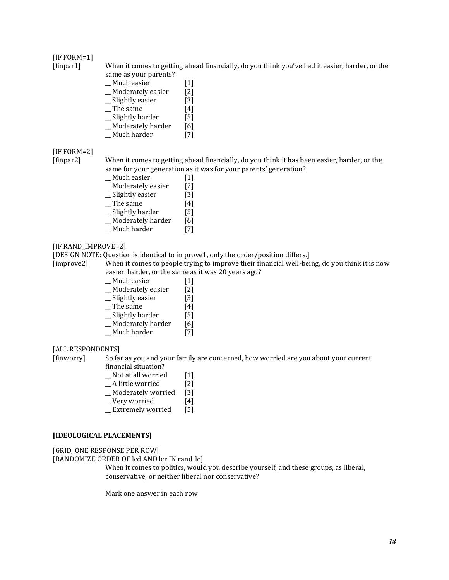#### [IF FORM=1]

[finpar1] When it comes to getting ahead financially, do you think you've had it easier, harder, or the same as your parents?

- \_\_ Much easier [1]
- \_\_ Moderately easier [2]
- \_\_ Slightly easier [3]
- $\Box$  The same  $[4]$
- \_\_ Slightly harder [5]
- $\_$  Moderately harder [6]
- \_\_ Much harder [7]

#### [IF FORM=2]

[finpar2] When it comes to getting ahead financially, do you think it has been easier, harder, or the same for your generation as it was for your parents' generation?

- \_\_ Much easier [1]
- \_Moderately easier [2]
- \_\_ Slightly easier [3]
- $\Box$  The same  $[4]$
- \_\_ Slightly harder [5]
- \_Moderately harder [6]
- \_\_ Much harder [7]

#### [IF RAND\_IMPROVE=2]

[DESIGN NOTE: Question is identical to improve1, only the order/position differs.]

[improve2] When it comes to people trying to improve their financial well-being, do you think it is now easier, harder, or the same as it was 20 years ago?

- Much easier [1]
- \_\_ Moderately easier [2]
- \_\_ Slightly easier [3]
- $\Box$  The same  $[4]$
- \_\_ Slightly harder [5]
- \_\_ Moderately harder [6]
- \_\_ Much harder [7]
- [ALL RESPONDENTS]

[finworry] So far as you and your family are concerned, how worried are you about your current financial situation?

- \_\_ Not at all worried [1]
- \_\_ A little worried [2]
- \_\_ Moderately worried [3]
- \_\_ Very worried [4]
- \_\_ Extremely worried [5]

#### **[IDEOLOGICAL PLACEMENTS]**

[GRID, ONE RESPONSE PER ROW]

[RANDOMIZE ORDER OF lcd AND lcr IN rand\_lc]

When it comes to politics, would you describe yourself, and these groups, as liberal, conservative, or neither liberal nor conservative?

Mark one answer in each row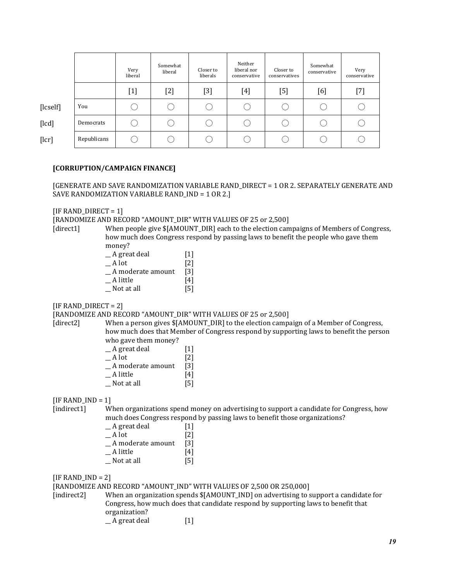|          |             | Very<br>liberal | Somewhat<br>liberal | Closer to<br>liberals                                                                                                                                                            | Neither<br>liberal nor<br>conservative | Closer to<br>conservatives | Somewhat<br>conservative | Very<br>conservative |
|----------|-------------|-----------------|---------------------|----------------------------------------------------------------------------------------------------------------------------------------------------------------------------------|----------------------------------------|----------------------------|--------------------------|----------------------|
|          |             | $[1]$           | $[2]$               | $[3] % \includegraphics[width=0.9\columnwidth]{figures/fig_1a} \caption{Schematic diagram of the top of the top of the top of the top of the top of the right.} \label{fig:1} %$ | [4]                                    | [5]                        | [6]                      | $[7]$                |
| [lcself] | You         |                 |                     |                                                                                                                                                                                  |                                        |                            | ι.                       |                      |
| [lcd]    | Democrats   | $\sim$          |                     |                                                                                                                                                                                  |                                        | ι                          | ι.                       |                      |
| [lcr]    | Republicans |                 |                     |                                                                                                                                                                                  |                                        |                            |                          |                      |

#### **[CORRUPTION/CAMPAIGN FINANCE]**

[GENERATE AND SAVE RANDOMIZATION VARIABLE RAND\_DIRECT = 1 OR 2. SEPARATELY GENERATE AND SAVE RANDOMIZATION VARIABLE RAND\_IND = 1 OR 2.]

 $[IF$  RAND\_DIRECT = 1]

[RANDOMIZE AND RECORD "AMOUNT\_DIR" WITH VALUES OF 25 or 2,500]

[direct1] When people give \$[AMOUNT\_DIR] each to the election campaigns of Members of Congress, how much does Congress respond by passing laws to benefit the people who gave them money?

| _ A great deal    | $[1]$             |
|-------------------|-------------------|
| A lot             | $\lceil 2 \rceil$ |
| A moderate amount | $\lceil 3 \rceil$ |
| A little          | [4]               |
| Not at all        | [5]               |

 $[IF$  RAND\_DIRECT = 2]

#### [RANDOMIZE AND RECORD "AMOUNT\_DIR" WITH VALUES OF 25 or 2,500]

[direct2] When a person gives  $$[AMOUNT_DIR]$  to the election campaign of a Member of Congress, how much does that Member of Congress respond by supporting laws to benefit the person who gave them money?

| A great deal      | $\lceil 1 \rceil$ |
|-------------------|-------------------|
| A lot             | $\lceil 2 \rceil$ |
| A moderate amount | [3]               |
| A little          | [4]               |
| Not at all        | [5]               |

 $IIF$  RAND  $IND = 11$ 

[indirect1] When organizations spend money on advertising to support a candidate for Congress, how much does Congress respond by passing laws to benefit those organizations?

| _ A great deal    | $[1]$             |
|-------------------|-------------------|
| A lot             | $\lceil 2 \rceil$ |
| A moderate amount | $\lceil 3 \rceil$ |
| A little          | [4]               |
| Not at all        | [5]               |
|                   |                   |

 $[IF$  RAND\_IND = 2]

[RANDOMIZE AND RECORD "AMOUNT\_IND" WITH VALUES OF 2,500 OR 250,000]

[indirect2] When an organization spends \$[AMOUNT\_IND] on advertising to support a candidate for Congress, how much does that candidate respond by supporting laws to benefit that organization? A great deal [1]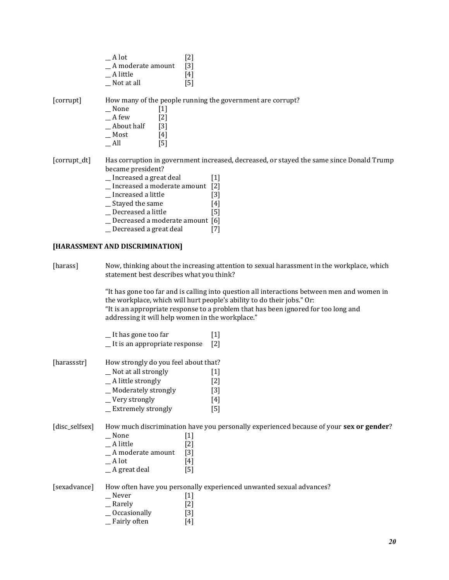| A lot             | $\lceil 2 \rceil$ |
|-------------------|-------------------|
| A moderate amount | [3]               |
| A little          | [4]               |
| Not at all        | [5]               |

[corrupt] How many of the people running the government are corrupt?

| None       | $[1]$             |
|------------|-------------------|
| A few      | $\lceil 2 \rceil$ |
| About half | [3]               |
| Most       | [4]               |
| All        | [5]               |

[corrupt\_dt] Has corruption in government increased, decreased, or stayed the same since Donald Trump became president?

- \_\_ Increased a great deal [1]
- \_\_ Increased a moderate amount [2]
- \_\_ Increased a little [3]
- 
- $\begin{array}{c} \_ \text{Stayed the same} \\ \_ \text{Decreased a little} \end{array}$  [4] \_\_ Decreased a little [5]
- \_\_ Decreased a moderate amount [6]
- \_\_ Decreased a great deal [7]

#### **[HARASSMENT AND DISCRIMINATION]**

[harass] Now, thinking about the increasing attention to sexual harassment in the workplace, which statement best describes what you think?

> "It has gone too far and is calling into question all interactions between men and women in the workplace, which will hurt people's ability to do their jobs." Or: "It is an appropriate response to a problem that has been ignored for too long and addressing it will help women in the workplace."

|                | It has gone too far                  |                                                                                                                                                                                  | $[1]$                                                                                                                                                                                            |  |
|----------------|--------------------------------------|----------------------------------------------------------------------------------------------------------------------------------------------------------------------------------|--------------------------------------------------------------------------------------------------------------------------------------------------------------------------------------------------|--|
|                | _It is an appropriate response       |                                                                                                                                                                                  | $\lceil 2 \rceil$                                                                                                                                                                                |  |
| [harassstr]    | How strongly do you feel about that? |                                                                                                                                                                                  |                                                                                                                                                                                                  |  |
|                | _ Not at all strongly                |                                                                                                                                                                                  | $[1] % \includegraphics[width=0.9\columnwidth]{figures/fig_1a} \caption{The figure shows the number of times on the right, and the number of times on the right, respectively.} \label{fig:1} %$ |  |
|                | _A little strongly                   |                                                                                                                                                                                  | $[2]$                                                                                                                                                                                            |  |
|                | _ Moderately strongly                |                                                                                                                                                                                  | [3]                                                                                                                                                                                              |  |
|                | _Very strongly                       |                                                                                                                                                                                  | [4]                                                                                                                                                                                              |  |
|                | _ Extremely strongly                 |                                                                                                                                                                                  | [5]                                                                                                                                                                                              |  |
| [disc_selfsex] |                                      |                                                                                                                                                                                  | How much discrimination have you personally experienced because of your sex or gender?                                                                                                           |  |
|                | None                                 | $\lfloor 1 \rfloor$                                                                                                                                                              |                                                                                                                                                                                                  |  |
|                | $\equiv$ A little                    | [2]                                                                                                                                                                              |                                                                                                                                                                                                  |  |
|                | _A moderate amount                   | $[3]$                                                                                                                                                                            |                                                                                                                                                                                                  |  |
|                | A lot                                | $[4] % \includegraphics[width=1\textwidth]{images/TrDiM-Architecture.png} \caption{The figure shows the number of parameters in the left and right.} \label{TrDiM-Architecture}$ |                                                                                                                                                                                                  |  |
|                | $A$ great deal                       | [5]                                                                                                                                                                              |                                                                                                                                                                                                  |  |
| [sexadvance]   |                                      |                                                                                                                                                                                  | How often have you personally experienced unwanted sexual advances?                                                                                                                              |  |
|                | __ Never                             | 1                                                                                                                                                                                |                                                                                                                                                                                                  |  |

 $\overline{\phantom{a}}$  Rarely  $\overline{\phantom{a}}$  [2] \_\_ Occasionally [3] \_\_ Fairly often [4]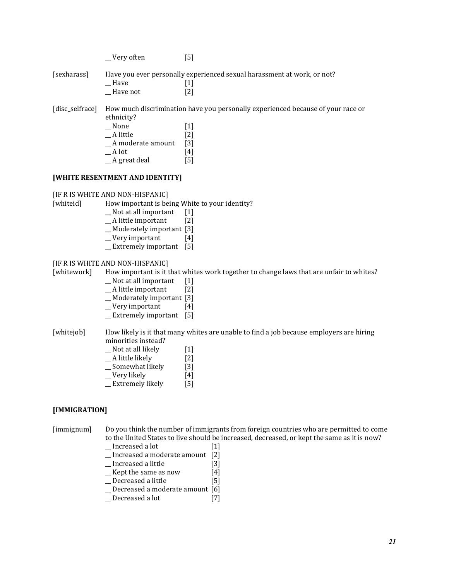|                 | _Very often                                                                     | [5]                                                                                                                  |
|-----------------|---------------------------------------------------------------------------------|----------------------------------------------------------------------------------------------------------------------|
| [sexharass]     | Have<br>Have not                                                                | Have you ever personally experienced sexual harassment at work, or not?<br>[1]<br>[2]                                |
| [disc_selfrace] | ethnicity?<br>None<br>A little<br>_A moderate amount<br>A lot<br>$A$ great deal | How much discrimination have you personally experienced because of your race or<br> 1 <br>[2]<br>$[3]$<br>[4]<br>[5] |

#### **[WHITE RESENTMENT AND IDENTITY]**

[IF R IS WHITE AND NON-HISPANIC]

[whiteid] How important is being White to your identity?

- $\Box$  Not at all important [1]
- $\_$  A little important [2]
- \_\_ Moderately important [3]
- \_\_ Very important [4]
- \_\_ Extremely important [5]

#### [IF R IS WHITE AND NON-HISPANIC]

[whitework] How important is it that whites work together to change laws that are unfair to whites?

- $\Box$  Not at all important [1]
- \_\_ A little important [2]
- \_\_ Moderately important [3]
- \_\_ Very important [4]
- $\equiv$  Extremely important [5]

[whitejob] How likely is it that many whites are unable to find a job because employers are hiring minorities instead?

- \_\_ Not at all likely [1]
- \_A little likely [2]<br>
\_Somewhat likely [3]
- \_Somewhat likely
- Wery likely [4]<br>Extremely likely [5]
- \_ Extremely likely

#### **[IMMIGRATION]**

[immignum] Do you think the number of immigrants from foreign countries who are permitted to come to the United States to live should be increased, decreased, or kept the same as it is now?

- \_\_ Increased a lot [1]
- \_\_ Increased a moderate amount [2]
- \_\_ Increased a little [3]
- $\equiv$  Kept the same as now [4]
- \_\_ Decreased a little [5]
- \_\_ Decreased a moderate amount [6]
- \_\_ Decreased a lot [7]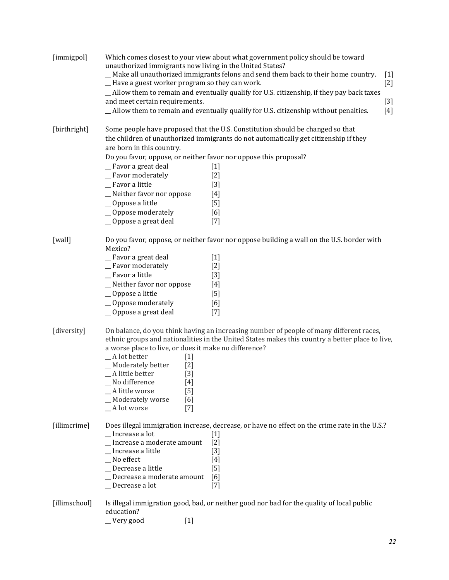| [immigpol]    | - Have a guest worker program so they can work.<br>and meet certain requirements.                                                                                                                                                                                  | Which comes closest to your view about what government policy should be toward<br>unauthorized immigrants now living in the United States?<br>_ Make all unauthorized immigrants felons and send them back to their home country.<br>$[1]$<br>$[2]$<br>_ Allow them to remain and eventually qualify for U.S. citizenship, if they pay back taxes<br>$[3]$<br>_Allow them to remain and eventually qualify for U.S. citizenship without penalties.<br>$[4]$ |
|---------------|--------------------------------------------------------------------------------------------------------------------------------------------------------------------------------------------------------------------------------------------------------------------|-------------------------------------------------------------------------------------------------------------------------------------------------------------------------------------------------------------------------------------------------------------------------------------------------------------------------------------------------------------------------------------------------------------------------------------------------------------|
| [birthright]  | are born in this country.<br>_Favor a great deal<br>_Favor moderately<br>_ Favor a little<br>_Neither favor nor oppose<br>_Oppose a little<br>_Oppose moderately<br>_Oppose a great deal                                                                           | Some people have proposed that the U.S. Constitution should be changed so that<br>the children of unauthorized immigrants do not automatically get citizenship if they<br>Do you favor, oppose, or neither favor nor oppose this proposal?<br>$[1]$<br>$[2]$<br>$[3]$<br>$[4]$<br>[5]<br>[6]<br>$[7]$                                                                                                                                                       |
| [wall]        | Mexico?<br>_Favor a great deal<br>_Favor moderately<br>_Favor a little<br>_Neither favor nor oppose<br>_Oppose a little<br>$\_\$ Oppose moderately<br>_Oppose a great deal                                                                                         | Do you favor, oppose, or neither favor nor oppose building a wall on the U.S. border with<br>$[1]$<br>$[2]$<br>$[3]$<br>$[4]$<br>[5]<br>[6]<br>$[7]$                                                                                                                                                                                                                                                                                                        |
| [diversity]   | a worse place to live, or does it make no difference?<br>$A$ lot better<br>$[1]$<br>_Moderately better<br>$[2]$<br>_A little better<br>$[3]$<br>No difference<br>[4]<br>_A little worse<br>$\lceil 5 \rceil$<br>_ Moderately worse<br>[6]<br>_A lot worse<br>$[7]$ | On balance, do you think having an increasing number of people of many different races,<br>ethnic groups and nationalities in the United States makes this country a better place to live,                                                                                                                                                                                                                                                                  |
| [illimcrime]  | _Increase a lot<br>Increase a moderate amount<br>Increase a little<br>No effect<br>Decrease a little<br>Decrease a moderate amount<br>Decrease a lot                                                                                                               | Does illegal immigration increase, decrease, or have no effect on the crime rate in the U.S.?<br>$[1]$<br>$[2]$<br>$[3]$<br>[4]<br>$[5]$<br>[6]<br>$[7]$                                                                                                                                                                                                                                                                                                    |
| [illimschool] | education?<br>Very good<br>$[1]$                                                                                                                                                                                                                                   | Is illegal immigration good, bad, or neither good nor bad for the quality of local public                                                                                                                                                                                                                                                                                                                                                                   |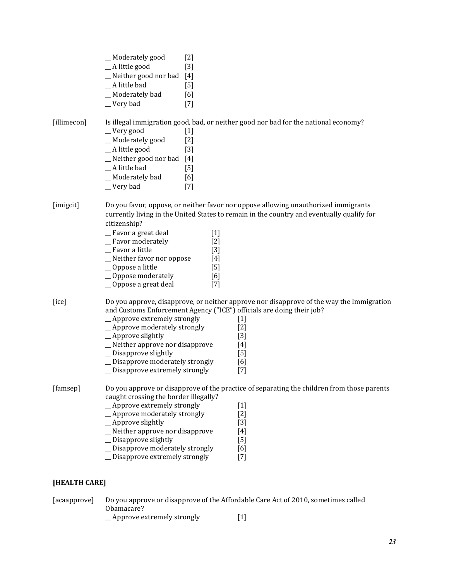|               | _Moderately good<br>_A little good<br>_Neither good nor bad [4]<br>_A little bad<br>_Moderately bad<br>_Very bad                                                                                                                                            | $[2]$<br>$[3]$<br>$[5]$<br>[6]<br>$[7]$                 |                                                                                                                                                                                                                                |  |
|---------------|-------------------------------------------------------------------------------------------------------------------------------------------------------------------------------------------------------------------------------------------------------------|---------------------------------------------------------|--------------------------------------------------------------------------------------------------------------------------------------------------------------------------------------------------------------------------------|--|
| [illimecon]   | _Very good<br>_Moderately good<br>_A little good<br>$N$ either good nor bad [4]<br>_A little bad<br>_Moderately bad<br>_Very bad                                                                                                                            | $[1]$<br>$[2]$<br>$[3]$<br>$[5]$<br>[6]<br>$[7]$        | Is illegal immigration good, bad, or neither good nor bad for the national economy?                                                                                                                                            |  |
| [imigcit]     | citizenship?<br>_Favor a great deal<br>_ Favor moderately<br>_ Favor a little<br>_Neither favor nor oppose<br>_Oppose a little<br>$\equiv$ Oppose moderately<br>_Oppose a great deal                                                                        | $[1]$<br>$[2]$<br>$[3]$<br>$[4]$<br>[5]<br>[6]<br>$[7]$ | Do you favor, oppose, or neither favor nor oppose allowing unauthorized immigrants<br>currently living in the United States to remain in the country and eventually qualify for                                                |  |
| [ice]         | _Approve extremely strongly<br>_Approve moderately strongly<br>$\_\$ Approve slightly<br>_Neither approve nor disapprove<br>_ Disapprove slightly<br>_ Disapprove moderately strongly<br>_ Disapprove extremely strongly                                    |                                                         | Do you approve, disapprove, or neither approve nor disapprove of the way the Immigration<br>and Customs Enforcement Agency ("ICE") officials are doing their job?<br>$[1]$<br>$[2]$<br>$[3]$<br>$[4]$<br>$[5]$<br>[6]<br>$[7]$ |  |
| [famsep]      | caught crossing the border illegally?<br>_Approve extremely strongly<br>_Approve moderately strongly<br>_Approve slightly<br>_Neither approve nor disapprove<br>_Disapprove slightly<br>_ Disapprove moderately strongly<br>_ Disapprove extremely strongly |                                                         | Do you approve or disapprove of the practice of separating the children from those parents<br>$[1]$<br>$[2]$<br>$[3]$<br>$[4]$<br>$[5]$<br>[6]<br>$[7]$                                                                        |  |
| [HEALTH CARE] |                                                                                                                                                                                                                                                             |                                                         |                                                                                                                                                                                                                                |  |

[acaapprove] Do you approve or disapprove of the Affordable Care Act of 2010, sometimes called Obamacare? \_\_ Approve extremely strongly [1]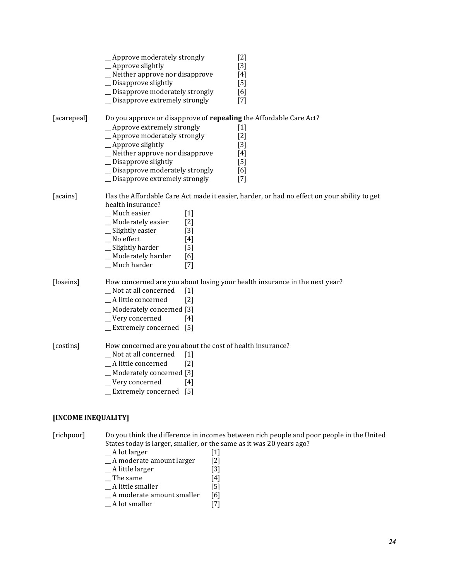|                     | _Approve moderately strongly<br>_Approve slightly<br>_Neither approve nor disapprove<br>_ Disapprove slightly                                                                          |                                                                       | $[2]$<br>$[3]$<br>$[4]$<br>[5]                                                                                       |
|---------------------|----------------------------------------------------------------------------------------------------------------------------------------------------------------------------------------|-----------------------------------------------------------------------|----------------------------------------------------------------------------------------------------------------------|
|                     | _ Disapprove moderately strongly<br>_ Disapprove extremely strongly                                                                                                                    |                                                                       | [6]<br>$[7]$                                                                                                         |
| [acarepeal]         | _Approve extremely strongly<br>_Approve moderately strongly<br>_Approve slightly<br>_ Neither approve nor disapprove<br>_ Disapprove slightly<br>_ Disapprove moderately strongly      |                                                                       | Do you approve or disapprove of repealing the Affordable Care Act?<br>$[1]$<br>$[2]$<br>$[3]$<br>[4]<br>$[5]$<br>[6] |
| [acains]            | _ Disapprove extremely strongly<br>health insurance?<br>_Much easier<br>_Moderately easier<br>_Slightly easier<br>_No effect<br>_Slightly harder<br>_Moderately harder<br>_Much harder | $[1]$<br>$\lceil 2 \rceil$<br>$[3]$<br>$[4]$<br>$[5]$<br>[6]<br>$[7]$ | $[7]$<br>Has the Affordable Care Act made it easier, harder, or had no effect on your ability to get                 |
| [loseins]           | _Not at all concerned<br>_A little concerned<br>_Moderately concerned [3]<br>_Very concerned<br>_Extremely concerned [5]                                                               | $[1]$<br>$\lceil 2 \rceil$<br>[4]                                     | How concerned are you about losing your health insurance in the next year?                                           |
| [costins]           | How concerned are you about the cost of health insurance?<br>_Not at all concerned<br>_A little concerned<br>_Moderately concerned [3]<br>_Very concerned<br>_Extremely concerned      | $[1]$<br>$\lceil 2 \rceil$<br>$[4]$<br>[5]                            |                                                                                                                      |
| [INCOME INEQUALITY] |                                                                                                                                                                                        |                                                                       |                                                                                                                      |
| [richpoor]          | States today is larger, smaller, or the same as it was 20 years ago?                                                                                                                   |                                                                       | Do you think the difference in incomes between rich people and poor people in the United                             |

- States today is larger, smaller, or the same as it was 20 years ago?<br>  $\begin{bmatrix} 1 \end{bmatrix}$ <br>  $\begin{bmatrix} A \end{bmatrix}$  Moderate amount larger [2]  $\Box$  A lot larger [1] \_\_ A moderate amount larger [2] \_\_ A little larger [3]
	- $\Box$  The same [4]
- 
- $A$  little larger [3]<br>  $A$  little larger [3]<br>  $A$  little smaller [5]<br>  $A$  moderate amount smaller [6]  $\frac{1}{2}$  A moderate amount smaller [6]<br>  $\frac{1}{2}$  A lot smaller [7]
- $A$  lot smaller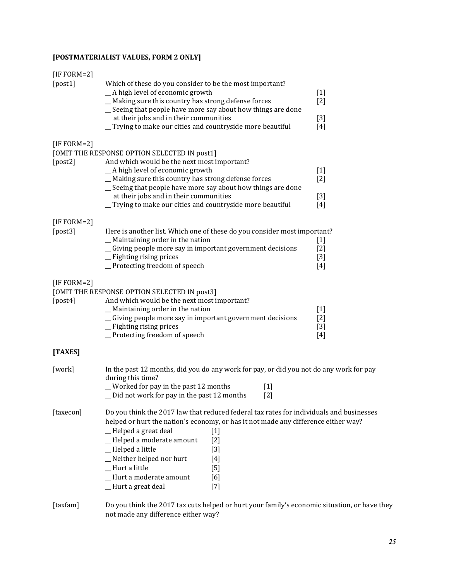# **[POSTMATERIALIST VALUES, FORM 2 ONLY]**

| [IF FORM=2] |                                                                                                                                                                                                                                                                                                                                                                                                                                                                                                                                                                         |                                  |
|-------------|-------------------------------------------------------------------------------------------------------------------------------------------------------------------------------------------------------------------------------------------------------------------------------------------------------------------------------------------------------------------------------------------------------------------------------------------------------------------------------------------------------------------------------------------------------------------------|----------------------------------|
| [post1]     | Which of these do you consider to be the most important?<br>_A high level of economic growth<br>_ Making sure this country has strong defense forces<br>_ Seeing that people have more say about how things are done<br>at their jobs and in their communities<br>_Trying to make our cities and countryside more beautiful                                                                                                                                                                                                                                             | $[1]$<br>$[2]$<br>$[3]$<br>$[4]$ |
| [IF FORM=2] |                                                                                                                                                                                                                                                                                                                                                                                                                                                                                                                                                                         |                                  |
| [post2]     | [OMIT THE RESPONSE OPTION SELECTED IN post1]<br>And which would be the next most important?<br>_A high level of economic growth<br>_ Making sure this country has strong defense forces<br>Seeing that people have more say about how things are done<br>at their jobs and in their communities<br>Trying to make our cities and countryside more beautiful                                                                                                                                                                                                             | $[1]$<br>$[2]$<br>$[3]$<br>$[4]$ |
| [IF FORM=2] |                                                                                                                                                                                                                                                                                                                                                                                                                                                                                                                                                                         |                                  |
| [post3]     | Here is another list. Which one of these do you consider most important?<br>_ Maintaining order in the nation<br>_Giving people more say in important government decisions<br>_ Fighting rising prices<br>_Protecting freedom of speech                                                                                                                                                                                                                                                                                                                                 | $[1]$<br>$[2]$<br>$[3]$<br>$[4]$ |
| [IF FORM=2] |                                                                                                                                                                                                                                                                                                                                                                                                                                                                                                                                                                         |                                  |
| [post4]     | [OMIT THE RESPONSE OPTION SELECTED IN post3]<br>And which would be the next most important?<br>$\_$ Maintaining order in the nation<br>_ Giving people more say in important government decisions<br>_ Fighting rising prices<br>_Protecting freedom of speech                                                                                                                                                                                                                                                                                                          | $[1]$<br>$[2]$<br>$[3]$<br>$[4]$ |
| [TAXES]     |                                                                                                                                                                                                                                                                                                                                                                                                                                                                                                                                                                         |                                  |
| [work]      | In the past 12 months, did you do any work for pay, or did you not do any work for pay<br>during this time?<br>Worked for pay in the past 12 months<br>$[1]$<br>$[2]$<br>Did not work for pay in the past 12 months                                                                                                                                                                                                                                                                                                                                                     |                                  |
| [taxecon]   | Do you think the 2017 law that reduced federal tax rates for individuals and businesses<br>helped or hurt the nation's economy, or has it not made any difference either way?<br>_Helped a great deal<br>$[1]$<br>-Helped a moderate amount<br>$[2]$<br>-Helped a little<br>$[3] % \includegraphics[width=0.9\columnwidth]{figures/fig_1a} \caption{Schematic diagram of the top of the top of the top of the right.} \label{fig:1} %$<br>_Neither helped nor hurt<br>$[4]$<br>_Hurt a little<br>$[5]$<br>_Hurt a moderate amount<br>[6]<br>_Hurt a great deal<br>$[7]$ |                                  |
| [taxfam]    | Do you think the 2017 tax cuts helped or hurt your family's economic situation, or have they<br>not made any difference either way?                                                                                                                                                                                                                                                                                                                                                                                                                                     |                                  |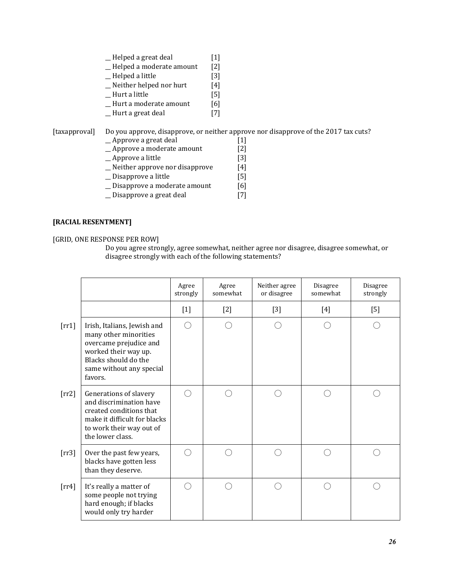| Helped a great deal      | $[1]$             |
|--------------------------|-------------------|
| Helped a moderate amount | $\lceil 2 \rceil$ |
| Helped a little          | [3]               |
| Neither helped nor hurt  | [4]               |
| Hurt a little            | [5]               |

\_\_ Hurt a moderate amount [6]

\_\_ Hurt a great deal [7]

[taxapproval] Do you approve, disapprove, or neither approve nor disapprove of the 2017 tax cuts?

- $\angle$  Approve a great deal [1]<br> $\angle$  Approve a moderate amount [2]
- − 11<br>
− Approve a moderate amount [2]<br>
− Approve a little [3]
- $\overline{\phantom{a}}$  Approve a little
- \_\_ Neither approve nor disapprove [4]
- \_\_ Disapprove a little [5]
- \_\_ Disapprove a moderate amount [6]
- \_\_ Disapprove a great deal [7]

#### **[RACIAL RESENTMENT]**

[GRID, ONE RESPONSE PER ROW]

Do you agree strongly, agree somewhat, neither agree nor disagree, disagree somewhat, or disagree strongly with each of the following statements?

|                |                                                                                                                                                                       | Agree<br>strongly | Agree<br>somewhat | Neither agree<br>or disagree | Disagree<br>somewhat | Disagree<br>strongly |
|----------------|-----------------------------------------------------------------------------------------------------------------------------------------------------------------------|-------------------|-------------------|------------------------------|----------------------|----------------------|
|                |                                                                                                                                                                       | $[1]$             | $[2]$             | $[3]$                        | $[4]$                | [5]                  |
| $[\text{rr1}]$ | Irish, Italians, Jewish and<br>many other minorities<br>overcame prejudice and<br>worked their way up.<br>Blacks should do the<br>same without any special<br>favors. | ∩                 |                   |                              |                      |                      |
| $[\text{rr2}]$ | Generations of slavery<br>and discrimination have<br>created conditions that<br>make it difficult for blacks<br>to work their way out of<br>the lower class.          | ( )               |                   |                              |                      |                      |
| $[\text{rr3}]$ | Over the past few years,<br>blacks have gotten less<br>than they deserve.                                                                                             | ∩                 |                   |                              |                      |                      |
| $[\text{rr}4]$ | It's really a matter of<br>some people not trying<br>hard enough; if blacks<br>would only try harder                                                                  | ⌒                 |                   |                              |                      |                      |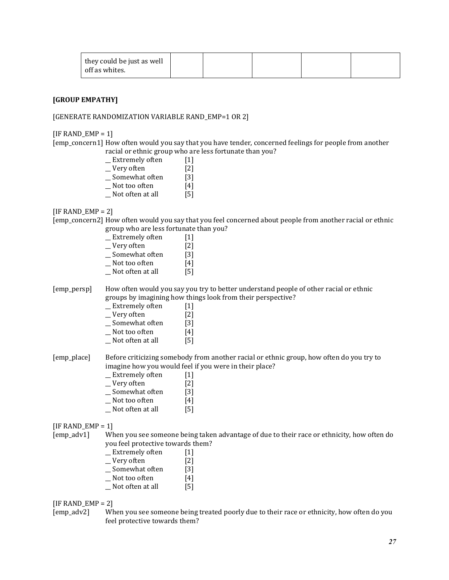| they could be just as well<br>off as whites. |  |  |  |  |  |
|----------------------------------------------|--|--|--|--|--|
|----------------------------------------------|--|--|--|--|--|

#### **[GROUP EMPATHY]**

#### [GENERATE RANDOMIZATION VARIABLE RAND\_EMP=1 OR 2]

 $[IF$  RAND\_EMP = 1]

[emp\_concern1] How often would you say that you have tender, concerned feelings for people from another racial or ethnic group who are less fortunate than you?

| Extremely often  | [1]               |
|------------------|-------------------|
| Very often       | $\lceil 2 \rceil$ |
| Somewhat often   | [3]               |
| Not too often    | [4]               |
| Not often at all | [5]               |

 $[IF$  RAND  $EMP = 2]$ 

[emp\_concern2] How often would you say that you feel concerned about people from another racial or ethnic group who are less fortunate than you?

| [1]               |
|-------------------|
| $\lceil 2 \rceil$ |
| [3]               |
| [4]               |
| [5]               |
|                   |

[emp\_persp] How often would you say you try to better understand people of other racial or ethnic groups by imagining how things look from their perspective?

| Extremely often | $[1]$      |
|-----------------|------------|
| Very often      | $[2]$      |
|                 | <b>FA3</b> |

- \_\_ Somewhat often [3]
- Not too often
- \_\_ Not often at all [5]

[emp\_place] Before criticizing somebody from another racial or ethnic group, how often do you try to imagine how you would feel if you were in their place?

- \_\_ Extremely often [1]
- \_\_ Very often [2]
- \_\_ Somewhat often [3]
- $\Box$  Not too often [4]
- \_\_ Not often at all [5]

 $[IF$  RAND  $EMP = 1]$ 

[emp\_adv1] When you see someone being taken advantage of due to their race or ethnicity, how often do you feel protective towards them?

- \_Extremely often [1]<br>\_Very often [2]  $\angle$  Very often \_\_ Somewhat often [3]
- 
- \_\_ Not too often [4] \_\_ Not often at all [5]

 $[IF$  RAND\_EMP = 2]

[emp\_adv2] When you see someone being treated poorly due to their race or ethnicity, how often do you feel protective towards them?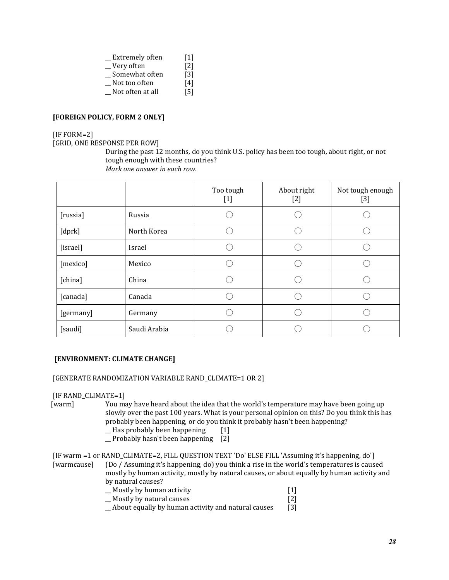| Extremely often  | $[1]$             |
|------------------|-------------------|
| Very often       | $\lceil 2 \rceil$ |
| Somewhat often   | $\lceil 3 \rceil$ |
| Not too often    | [4]               |
| Not often at all | [5]               |

#### **[FOREIGN POLICY, FORM 2 ONLY]**

#### [IF FORM=2]

[GRID, ONE RESPONSE PER ROW]

During the past 12 months, do you think U.S. policy has been too tough, about right, or not tough enough with these countries? *Mark one answer in each row*.

|           |              | Too tough<br>$[1] % \includegraphics[width=0.9\columnwidth]{figures/fig_1a} \caption{The figure shows the number of times, and the number of times, and the number of times, and the number of times, are indicated with the number of times, and the number of times, are indicated with the number of times.} \label{fig:2}$ | About right<br>$[2]$ | Not tough enough<br>[3] |
|-----------|--------------|--------------------------------------------------------------------------------------------------------------------------------------------------------------------------------------------------------------------------------------------------------------------------------------------------------------------------------|----------------------|-------------------------|
| [russia]  | Russia       |                                                                                                                                                                                                                                                                                                                                |                      |                         |
| [dprk]    | North Korea  |                                                                                                                                                                                                                                                                                                                                |                      |                         |
| [israel]  | Israel       |                                                                                                                                                                                                                                                                                                                                |                      |                         |
| [mexico]  | Mexico       |                                                                                                                                                                                                                                                                                                                                |                      |                         |
| [china]   | China        |                                                                                                                                                                                                                                                                                                                                |                      |                         |
| [canada]  | Canada       |                                                                                                                                                                                                                                                                                                                                |                      |                         |
| [germany] | Germany      |                                                                                                                                                                                                                                                                                                                                |                      |                         |
| [saudi]   | Saudi Arabia |                                                                                                                                                                                                                                                                                                                                |                      |                         |

#### **[ENVIRONMENT: CLIMATE CHANGE]**

[GENERATE RANDOMIZATION VARIABLE RAND\_CLIMATE=1 OR 2]

#### [IF RAND\_CLIMATE=1]

- [warm] You may have heard about the idea that the world's temperature may have been going up slowly over the past 100 years. What is your personal opinion on this? Do you think this has probably been happening, or do you think it probably hasn't been happening? \_\_ Has probably been happening [1]
	- \_\_ Probably hasn't been happening [2]

[IF warm =1 or RAND\_CLIMATE=2, FILL QUESTION TEXT 'Do' ELSE FILL 'Assuming it's happening, do'] [warmcause] (Do / Assuming it's happening, do) you think a rise in the world's temperatures is caused mostly by human activity, mostly by natural causes, or about equally by human activity and by natural causes?

- $-$  Mostly by human activity [1]<br>Mostly by natural causes [2]
- \_\_ Mostly by natural causes [2]
- $\angle$  About equally by human activity and natural causes [3]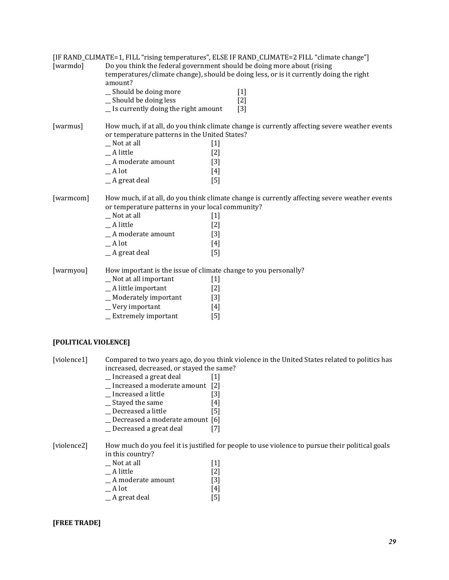|           |                                                                                   |                   | [IF RAND_CLIMATE=1, FILL "rising temperatures", ELSE IF RAND_CLIMATE=2 FILL "climate change"] |  |  |
|-----------|-----------------------------------------------------------------------------------|-------------------|-----------------------------------------------------------------------------------------------|--|--|
| [warmdo]  | Do you think the federal government should be doing more about (rising<br>amount? |                   | temperatures/climate change), should be doing less, or is it currently doing the right        |  |  |
|           | _ Should be doing more                                                            |                   | $[1]$                                                                                         |  |  |
|           | _Should be doing less                                                             |                   | $[2]$                                                                                         |  |  |
|           | $\equiv$ Is currently doing the right amount                                      |                   | $[3]$                                                                                         |  |  |
| [warmus]  |                                                                                   |                   | How much, if at all, do you think climate change is currently affecting severe weather events |  |  |
|           | or temperature patterns in the United States?                                     |                   |                                                                                               |  |  |
|           | $Not$ at all                                                                      | $[1]$             |                                                                                               |  |  |
|           | _A little                                                                         | $[2]$             |                                                                                               |  |  |
|           | _A moderate amount                                                                | $\lceil 3 \rceil$ |                                                                                               |  |  |
|           | $-$ A lot                                                                         | $[4]$             |                                                                                               |  |  |
|           | $A$ great deal                                                                    | $[5]$             |                                                                                               |  |  |
| [warmcom] |                                                                                   |                   | How much, if at all, do you think climate change is currently affecting severe weather events |  |  |
|           | or temperature patterns in your local community?                                  |                   |                                                                                               |  |  |
|           | $Not$ at all                                                                      | $[1]$             |                                                                                               |  |  |
|           | _A little                                                                         | $[2]$             |                                                                                               |  |  |
|           | $A$ moderate amount                                                               | $[3]$             |                                                                                               |  |  |
|           | $A$ lot                                                                           | $[4]$             |                                                                                               |  |  |
|           | $A$ great deal                                                                    | $[5]$             |                                                                                               |  |  |
| [warmyou] | How important is the issue of climate change to you personally?                   |                   |                                                                                               |  |  |
|           | _ Not at all important                                                            | $[1]$             |                                                                                               |  |  |
|           | $\_$ A little important                                                           | $[2]$             |                                                                                               |  |  |
|           | _Moderately important                                                             | $[3]$             |                                                                                               |  |  |
|           | $\sqrt{\frac{y}{x}}$ Very important                                               | $[4]$             |                                                                                               |  |  |
|           | $\_$ Extremely important                                                          | $[5]$             |                                                                                               |  |  |
|           |                                                                                   |                   |                                                                                               |  |  |
|           |                                                                                   |                   |                                                                                               |  |  |

#### **[POLITICAL VIOLENCE]**

[violence1] Compared to two years ago, do you think violence in the United States related to politics has increased, decreased, or stayed the same?

- \_\_ Increased a great deal [1]
- \_\_ Increased a moderate amount [2]
- $\overline{\phantom{a}}$  Increased a little
- \_Stayed the same [4]<br>
\_Decreased a little [5]
- $\angle$  Decreased a little
- \_Decreased a moderate amount [6]<br>
\_Decreased a great deal [7]
- \_\_ Decreased a great deal [7]

[violence2] How much do you feel it is justified for people to use violence to pursue their political goals in this country?

| $\Box$ Not at all | $[1]$             |
|-------------------|-------------------|
| A little          | $\lceil 2 \rceil$ |
| A moderate amount | $\lceil 3 \rceil$ |
| A lot             | [4]               |
| A great deal      | [5]               |

#### **[FREE TRADE]**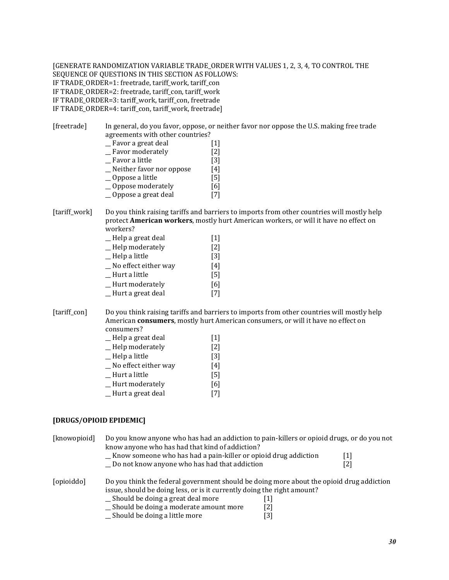[GENERATE RANDOMIZATION VARIABLE TRADE\_ORDER WITH VALUES 1, 2, 3, 4, TO CONTROL THE SEQUENCE OF QUESTIONS IN THIS SECTION AS FOLLOWS: IF TRADE\_ORDER=1: freetrade, tariff\_work, tariff\_con IF TRADE\_ORDER=2: freetrade, tariff\_con, tariff\_work IF TRADE\_ORDER=3: tariff\_work, tariff\_con, freetrade IF TRADE\_ORDER=4: tariff\_con, tariff\_work, freetrade]

[freetrade] In general, do you favor, oppose, or neither favor nor oppose the U.S. making free trade agreements with other countries?

| Favor a great deal       | $[1]$             |
|--------------------------|-------------------|
| Favor moderately         | $[2]$             |
| Favor a little           | $\lceil 3 \rceil$ |
| Neither favor nor oppose | [4]               |
| _Oppose a little         | [5]               |
| Oppose moderately        | [6]               |

\_\_ Oppose a great deal [7]

[tariff\_work] Do you think raising tariffs and barriers to imports from other countries will mostly help protect **American workers**, mostly hurt American workers, or will it have no effect on workers?

| _Help a great deal    | [1]               |
|-----------------------|-------------------|
| _Help moderately      | $\lceil 2 \rceil$ |
| $=$ Help a little     | $\lceil 3 \rceil$ |
| _No effect either way | [4]               |
| $\_$ Hurt a little    | [5]               |
| _Hurt moderately      | [6]               |
| _Hurt a great deal    |                   |

[tariff\_con] Do you think raising tariffs and barriers to imports from other countries will mostly help American **consumers**, mostly hurt American consumers, or will it have no effect on consumers?

- \_\_ Help a great deal [1]
- \_\_ Help moderately [2]
- \_\_ Help a little [3]
- \_\_ No effect either way [4]
- \_\_ Hurt a little [5]
- \_\_ Hurt moderately [6]
- \_\_ Hurt a great deal [7]

#### **[DRUGS/OPIOID EPIDEMIC]**

| [knowopioid] | Do you know anyone who has had an addiction to pain-killers or opioid drugs, or do you not<br>know anyone who has had that kind of addiction?                       |                   |     |
|--------------|---------------------------------------------------------------------------------------------------------------------------------------------------------------------|-------------------|-----|
|              | _ Know someone who has had a pain-killer or opioid drug addiction                                                                                                   |                   | 1   |
|              | Do not know anyone who has had that addiction                                                                                                                       |                   | [2] |
| [opioiddo]   | Do you think the federal government should be doing more about the opioid drug addiction<br>issue, should be doing less, or is it currently doing the right amount? |                   |     |
|              | _Should be doing a great deal more                                                                                                                                  | $\lceil 1 \rceil$ |     |
|              | _ Should be doing a moderate amount more                                                                                                                            | [2]               |     |
|              | _ Should be doing a little more                                                                                                                                     | [3]               |     |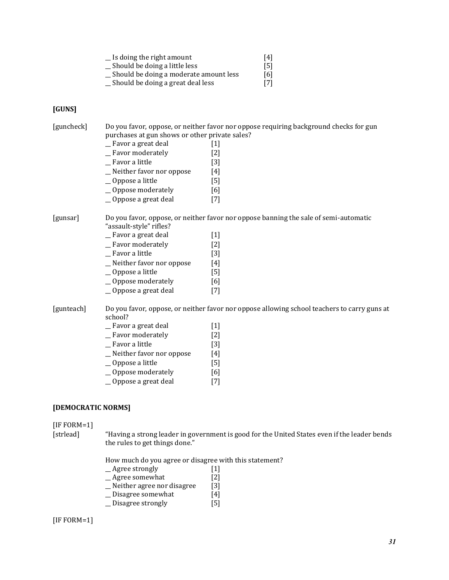| Is doing the right amount              | [4] |
|----------------------------------------|-----|
| Should be doing a little less          | [5] |
| Should be doing a moderate amount less | [6] |
| Should be doing a great deal less      | [7] |

#### **[GUNS]**

[guncheck] Do you favor, oppose, or neither favor nor oppose requiring background checks for gun purchases at gun shows or other private sales? \_\_ Favor a great deal [1] \_\_ Favor moderately [2] \_\_ Favor a little [3] \_\_ Neither favor nor oppose [4] \_\_ Oppose a little [5] \_\_ Oppose moderately [6] \_\_ Oppose a great deal [7] [gunsar] Do you favor, oppose, or neither favor nor oppose banning the sale of semi-automatic "assault-style" rifles? \_\_ Favor a great deal [1] \_\_ Favor moderately [2] \_\_ Favor a little [3] \_\_ Neither favor nor oppose [4] \_\_ Oppose a little [5] \_\_ Oppose moderately [6] \_\_ Oppose a great deal [7] [gunteach] Do you favor, oppose, or neither favor nor oppose allowing school teachers to carry guns at school? \_\_ Favor a great deal [1] \_\_ Favor moderately [2] \_\_ Favor a little [3] \_\_ Neither favor nor oppose [4] \_\_ Oppose a little [5] \_\_ Oppose moderately [6] \_\_ Oppose a great deal [7] **[DEMOCRATIC NORMS]**

# [IF FORM=1]

[strlead] "Having a strong leader in government is good for the United States even if the leader bends the rules to get things done."

How much do you agree or disagree with this statement?

- \_\_ Agree strongly [1]
- \_\_ Agree somewhat [2]
- \_\_ Neither agree nor disagree [3]
- \_\_ Disagree somewhat [4]
- \_\_ Disagree strongly [5]

#### [IF FORM=1]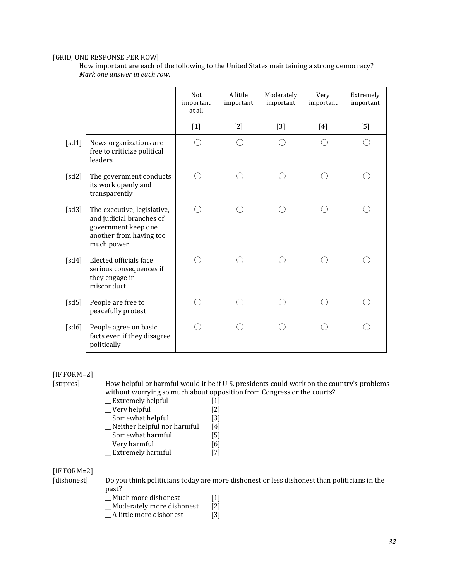#### [GRID, ONE RESPONSE PER ROW]

How important are each of the following to the United States maintaining a strong democracy? *Mark one answer in each row.*

|       |                                                                                                                         | Not<br>important<br>at all | A little<br>important | Moderately<br>important | Very<br>important | Extremely<br>important |
|-------|-------------------------------------------------------------------------------------------------------------------------|----------------------------|-----------------------|-------------------------|-------------------|------------------------|
|       |                                                                                                                         | $[1]$                      | $[2]$                 | $[3]$                   | $[4]$             | $[5]$                  |
| [sd1] | News organizations are<br>free to criticize political<br>leaders                                                        |                            |                       |                         |                   |                        |
| [sd2] | The government conducts<br>its work openly and<br>transparently                                                         |                            |                       |                         |                   |                        |
| [sd3] | The executive, legislative,<br>and judicial branches of<br>government keep one<br>another from having too<br>much power | Ω                          |                       |                         |                   |                        |
| [sd4] | Elected officials face<br>serious consequences if<br>they engage in<br>misconduct                                       |                            |                       |                         |                   |                        |
| [sd5] | People are free to<br>peacefully protest                                                                                |                            |                       |                         | ∩                 |                        |
| [sd6] | People agree on basic<br>facts even if they disagree<br>politically                                                     |                            |                       |                         |                   |                        |

[IF FORM=2]

[strpres] How helpful or harmful would it be if U.S. presidents could work on the country's problems without worrying so much about opposition from Congress or the courts?

- \_Extremely helpful [1]<br>
\_Very helpful [2]
- $\overline{\phantom{a}}$  Very helpful
- \_Somewhat helpful [3]
- $\frac{1}{2}$  Neither helpful nor harmful [4]<br>  $\frac{1}{2}$  Somewhat harmful [5]
- Somewhat harmful [5]<br>
Very harmful [6]
- Wery harmful<br>
<u>Extremely harmful</u> [6]<br>
Extremely harmful [7]
- $\overline{\phantom{a}}$  Extremely harmful

# [IF FORM=2]

- [dishonest] Do you think politicians today are more dishonest or less dishonest than politicians in the past?
	- \_Much more dishonest [1]<br>\_Moderately more dishonest [2]
	- $\overline{\phantom{a}}$  Moderately more dishonest
	- \_\_ A little more dishonest [3]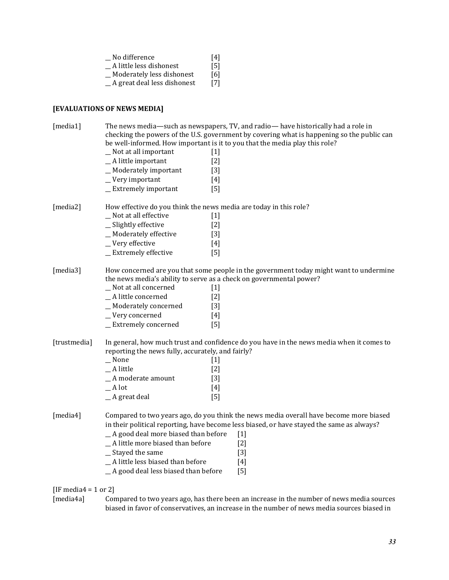|              | _No difference<br>[4]<br>_A little less dishonest<br>$[5]$<br>_Moderately less dishonest<br>[6]<br>_A great deal less dishonest<br>$[7]$                                                                                                                                                                                                                                                                                                       |
|--------------|------------------------------------------------------------------------------------------------------------------------------------------------------------------------------------------------------------------------------------------------------------------------------------------------------------------------------------------------------------------------------------------------------------------------------------------------|
|              | [EVALUATIONS OF NEWS MEDIA]                                                                                                                                                                                                                                                                                                                                                                                                                    |
| [media1]     | The news media—such as newspapers, TV, and radio— have historically had a role in<br>checking the powers of the U.S. government by covering what is happening so the public can<br>be well-informed. How important is it to you that the media play this role?<br>_ Not at all important<br>$[1]$<br>$A$ little important<br>$[2]$<br>_ Moderately important<br>$[3]$<br>_Very important<br>$[4]$<br>_Extremely important<br>$\lceil 5 \rceil$ |
| [media2]     | How effective do you think the news media are today in this role?<br>_ Not at all effective<br>$[1]$<br>_Slightly effective<br>$[2]$<br>_Moderately effective<br>$[3]$<br>_Very effective<br>$[4]$<br>_ Extremely effective<br>$\lceil 5 \rceil$                                                                                                                                                                                               |
| [media3]     | How concerned are you that some people in the government today might want to undermine<br>the news media's ability to serve as a check on governmental power?<br>_Not at all concerned<br>$[1]$<br>A little concerned<br>$[2]$<br>_Moderately concerned<br>$[3]$<br>_Very concerned<br>$[4]$<br>_ Extremely concerned<br>[5]                                                                                                                   |
| [trustmedia] | In general, how much trust and confidence do you have in the news media when it comes to<br>reporting the news fully, accurately, and fairly?<br>$\_$ None<br>$[1]$<br>_A little<br>[2]<br>_A moderate amount<br>$[3]$<br>$\_$ A lot<br>$[4]$<br>_A great deal<br>$[5]$                                                                                                                                                                        |
| [media4]     | Compared to two years ago, do you think the news media overall have become more biased<br>in their political reporting, have become less biased, or have stayed the same as always?<br>_ A good deal more biased than before<br>$[1]$<br>_A little more biased than before<br>$[2]$<br>_ Stayed the same<br>$[3]$<br>_A little less biased than before<br>$[4]$<br>_A good deal less biased than before<br>$[5]$                               |

# [IF media4 = 1 or 2]<br>[media4a] Cor

Compared to two years ago, has there been an increase in the number of news media sources biased in favor of conservatives, an increase in the number of news media sources biased in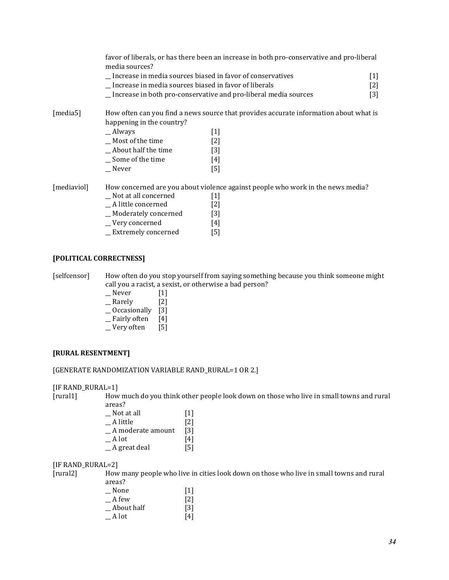favor of liberals, or has there been an increase in both pro-conservative and pro-liberal media sources?

| Increase in media sources biased in favor of conservatives | $\left[ 1\right]$ |
|------------------------------------------------------------|-------------------|
| Increase in media sources biased in favor of liberals      | $\lceil 2 \rceil$ |

\_\_ Increase in both pro-conservative and pro-liberal media sources [3]

[media5] How often can you find a news source that provides accurate information about what is happening in the country?

| $\_$ Always         | $[1]$             |
|---------------------|-------------------|
| Most of the time    | $\lceil 2 \rceil$ |
| About half the time | $\lceil 3 \rceil$ |
| Some of the time    | [4]               |
| Never               | [5]               |
|                     |                   |

[mediaviol] How concerned are you about violence against people who work in the news media?

| Not at all concerned   | $[1]$             |
|------------------------|-------------------|
| A little concerned     | $\lceil 2 \rceil$ |
| _ Moderately concerned | $\lceil 3 \rceil$ |
| _Very concerned        | [4]               |

\_\_ Extremely concerned [5]

#### **[POLITICAL CORRECTNESS]**

[selfcensor] How often do you stop yourself from saying something because you think someone might call you a racist, a sexist, or otherwise a bad person?

- \_\_ Never [1]
- $\_$  Rarely  $\qquad \qquad$  [2]
- \_\_ Occasionally [3]
- \_\_ Fairly often [4]
- \_\_ Very often [5]

#### **[RURAL RESENTMENT]**

#### [GENERATE RANDOMIZATION VARIABLE RAND\_RURAL=1 OR 2.]

[IF RAND\_RURAL=1]

[rural1] How much do you think other people look down on those who live in small towns and rural areas?

| [1]               |
|-------------------|
| $\lceil 2 \rceil$ |
| [3]               |
| [4]               |
| [5]               |
|                   |

#### [IF RAND\_RURAL=2]

[rural2] How many people who live in cities look down on those who live in small towns and rural areas?

| None       | $\lceil 1 \rceil$ |
|------------|-------------------|
| A few      | $\lceil 2 \rceil$ |
| About half | $\lceil 3 \rceil$ |
| A lot      | [4]               |
|            |                   |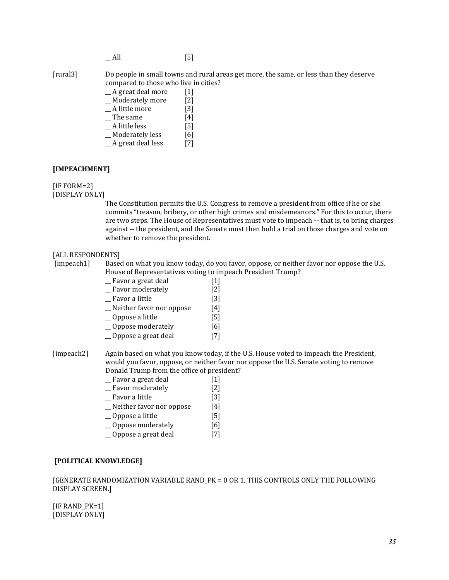$\_$  All [5]

[rural3] Do people in small towns and rural areas get more, the same, or less than they deserve compared to those who live in cities?

| A great deal more | [1]               |
|-------------------|-------------------|
| Moderately more   | $\lceil 2 \rceil$ |
| A little more     | [3]               |
| The same          | [4]               |

- $A$  little less [5]
- Moderately less [6]
- $A$  great deal less [7]

#### **[IMPEACHMENT]**

[IF FORM=2]

[DISPLAY ONLY]

The Constitution permits the U.S. Congress to remove a president from office if he or she commits "treason, bribery, or other high crimes and misdemeanors." For this to occur, there are two steps. The House of Representatives must vote to impeach -- that is, to bring charges against -- the president, and the Senate must then hold a trial on those charges and vote on whether to remove the president.

#### [ALL RESPONDENTS]

[impeach1] Based on what you know today, do you favor, oppose, or neither favor nor oppose the U.S. House of Representatives voting to impeach President Trump?

| Favor a great deal     | $[1]$ |
|------------------------|-------|
| Passau on a d'anatala. | ר רי  |

| Favor moderately | $\lceil 2 \rceil$ |
|------------------|-------------------|
| Favor a little   | [3]               |

- \_\_ Neither favor nor oppose [4]
- \_\_ Oppose a little [5]
- 
- \_\_ Oppose moderately [6]
- Oppose a great deal [7]

[impeach2] Again based on what you know today, if the U.S. House voted to impeach the President, would you favor, oppose, or neither favor nor oppose the U.S. Senate voting to remove Donald Trump from the office of president?

| Favor a great deal | $[1]$ |
|--------------------|-------|

- \_\_ Favor moderately [2]
- \_\_ Favor a little [3]
- \_\_ Neither favor nor oppose [4]
- \_\_ Oppose a little [5]
- \_\_ Oppose moderately [6]
- \_\_ Oppose a great deal [7]

#### **[POLITICAL KNOWLEDGE]**

[GENERATE RANDOMIZATION VARIABLE RAND\_PK = 0 OR 1. THIS CONTROLS ONLY THE FOLLOWING DISPLAY SCREEN.]

[IF RAND\_PK=1] [DISPLAY ONLY]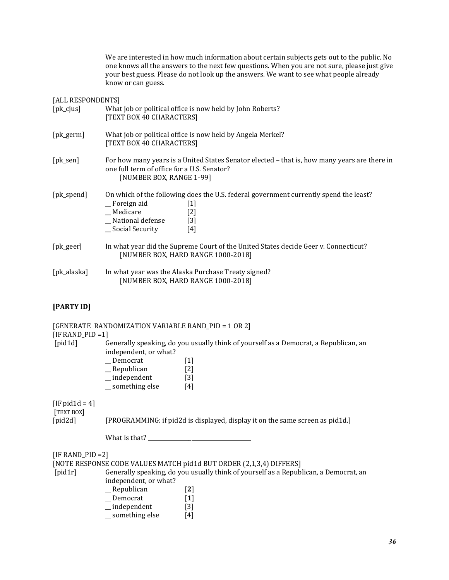We are interested in how much information about certain subjects gets out to the public. No one knows all the answers to the next few questions. When you are not sure, please just give your best guess. Please do not look up the answers. We want to see what people already know or can guess.

#### [ALL RESPONDENTS]

| $[pk_c$ ius] | What job or political office is now held by John Roberts?<br>[TEXT BOX 40 CHARACTERS]                                                                                                     |
|--------------|-------------------------------------------------------------------------------------------------------------------------------------------------------------------------------------------|
| $[pk\_germ]$ | What job or political office is now held by Angela Merkel?<br>[TEXT BOX 40 CHARACTERS]                                                                                                    |
| $[pk\_sen]$  | For how many years is a United States Senator elected - that is, how many years are there in<br>one full term of office for a U.S. Senator?<br>[NUMBER BOX, RANGE 1-99]                   |
| [pk_spend]   | On which of the following does the U.S. federal government currently spend the least?<br>_Foreign aid<br> 1 <br>_Medicare<br>[2]<br>_ National defense<br>$[3]$<br>Social Security<br>[4] |
| $[pk\_geer]$ | In what year did the Supreme Court of the United States decide Geer v. Connecticut?<br>[NUMBER BOX, HARD RANGE 1000-2018]                                                                 |
| [pk_alaska]  | In what year was the Alaska Purchase Treaty signed?<br>[NUMBER BOX, HARD RANGE 1000-2018]                                                                                                 |

# **[PARTY ID]**

| [IF RAND_PID = $1$ ]                                 | [GENERATE RANDOMIZATION VARIABLE RAND_PID = 1 OR 2]                                                                                                                                                                                                                                                            |  |
|------------------------------------------------------|----------------------------------------------------------------------------------------------------------------------------------------------------------------------------------------------------------------------------------------------------------------------------------------------------------------|--|
| [pid1d]                                              | Generally speaking, do you usually think of yourself as a Democrat, a Republican, an<br>independent, or what?<br>_Democrat<br>$\lceil 1 \rceil$<br>Republican [2]<br>$=$ independent [3]<br>$\equiv$ something else [4]                                                                                        |  |
| [IF pid $1d = 4$ ]<br>[TEXT BOX]<br>$[\text{pid2d}]$ | [PROGRAMMING: if pid2d is displayed, display it on the same screen as pid1d.]                                                                                                                                                                                                                                  |  |
|                                                      |                                                                                                                                                                                                                                                                                                                |  |
| $[IF RANDOM_PID = 2]$<br>[pid1r]                     | [NOTE RESPONSE CODE VALUES MATCH pid1d BUT ORDER (2,1,3,4) DIFFERS]<br>Generally speaking, do you usually think of yourself as a Republican, a Democrat, an<br>independent, or what?<br>$R$ epublican<br>$[2]$<br>_Democrat<br>$\left[ \mathbf{1}\right]$<br>$\equiv$ independent [3]<br>something else<br>[4] |  |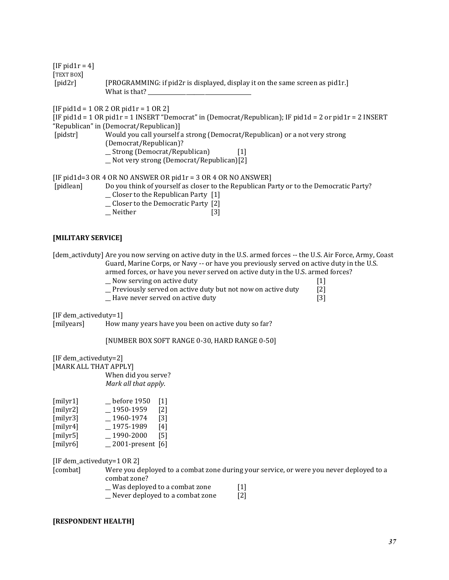$[IF pid1r = 4]$ [TEXT BOX] [pid2r] [PROGRAMMING: if pid2r is displayed, display it on the same screen as pid1r.] What is that?

 $[IF pid1d = 1 OR 2 OR pid1r = 1 OR 2]$ 

[IF pid1d = 1 OR pid1r = 1 INSERT "Democrat" in (Democrat/Republican); IF pid1d = 2 or pid1r = 2 INSERT "Republican" in (Democrat/Republican)]

- [pidstr] Would you call yourself a strong (Democrat/Republican) or a not very strong (Democrat/Republican)? \_\_ Strong (Democrat/Republican) [1]
	- \_\_ Not very strong (Democrat/Republican)[2]

```
[IF pid1d=3 OR 4 OR NO ANSWER OR pid1r = 3 OR 4 OR NO ANSWER]
```
[pidlean] Do you think of yourself as closer to the Republican Party or to the Democratic Party?

- $\Box$  Closer to the Republican Party [1]
- \_\_ Closer to the Democratic Party [2]
- Neither [3]

#### **[MILITARY SERVICE]**

[dem\_activduty] Are you now serving on active duty in the U.S. armed forces -- the U.S. Air Force, Army, Coast Guard, Marine Corps, or Navy -- or have you previously served on active duty in the U.S. armed forces, or have you never served on active duty in the U.S. armed forces?

- \_\_ Now serving on active duty [1]
- $\Box$  Previously served on active duty but not now on active duty [2]
- \_\_ Have never served on active duty [3]

[IF dem\_activeduty=1]

[milyears] How many years have you been on active duty so far?

[NUMBER BOX SOFT RANGE 0-30, HARD RANGE 0-50]

[IF dem\_activeduty=2] [MARK ALL THAT APPLY] When did you serve? *Mark all that apply*.

| [milyr1] | before 1950        | $[1]$             |
|----------|--------------------|-------------------|
| [milyr2] | 1950-1959          | $\lceil 2 \rceil$ |
| [milyr3] | 1960-1974          | $\lceil 3 \rceil$ |
| [milyr4] | 1975-1989          | [4]               |
| [milyr5] | 1990-2000          | [5]               |
| [milyr6] | 2001-present $[6]$ |                   |

[IF dem\_activeduty=1 OR 2]

[combat] Were you deployed to a combat zone during your service, or were you never deployed to a combat zone?

- \_\_ Was deployed to a combat zone [1]
- \_\_ Never deployed to a combat zone [2]

#### **[RESPONDENT HEALTH]**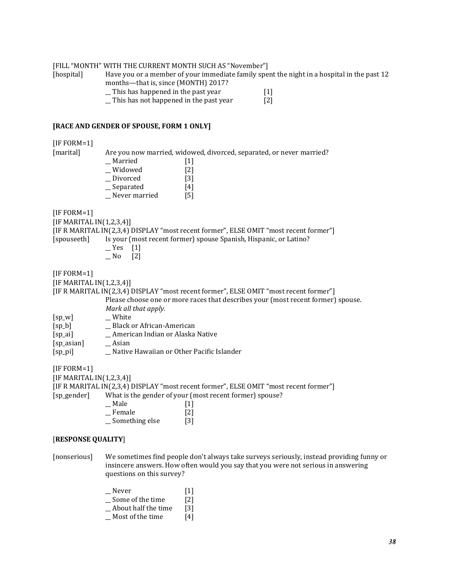#### [FILL "MONTH" WITH THE CURRENT MONTH SUCH AS "November"]

[hospital] Have you or a member of your immediate family spent the night in a hospital in the past 12 months—that is, since (MONTH) 2017?

This has happened in the past year [1]<br>This has not happened in the past year [2]  $\Box$  This has not happened in the past year

#### **[RACE AND GENDER OF SPOUSE, FORM 1 ONLY]**

[IF FORM=1]

[marital] Are you now married, widowed, divorced, separated, or never married?

| Married       | [1]               |
|---------------|-------------------|
| Widowed       | $\lceil 2 \rceil$ |
| Divorced      | [3]               |
| Separated     | [4]               |
| Never married | [5]               |

[IF FORM=1]

 $[IF MARKITAL IN(1,2,3,4)]$ 

[IF R MARITAL IN(2,3,4) DISPLAY "most recent former", ELSE OMIT "most recent former"]

[spouseeth] Is your (most recent former) spouse Spanish, Hispanic, or Latino?

- $Yes$  [1]
- $N$ o [2]

[IF FORM=1]

 $[IF MARKITAL IN(1,2,3,4)]$ 

[IF R MARITAL IN(2,3,4) DISPLAY "most recent former", ELSE OMIT "most recent former"]

Please choose one or more races that describes your (most recent former) spouse. *Mark all that apply.*

- [sp\_w] \_\_\_\_ White
- [sp\_b] \_\_ Black or African-American
- [sp\_ai] \_\_ American Indian or Alaska Native
- [sp\_asian] \_\_\_ Asian
- [sp\_pi] \_\_ Native Hawaiian or Other Pacific Islander

[IF FORM=1]

[IF MARITAL IN(1,2,3,4)]

[IF R MARITAL IN(2,3,4) DISPLAY "most recent former", ELSE OMIT "most recent former"]

[sp\_gender] What is the gender of your (most recent former) spouse?

- $Male$  [1]  $\equiv$  Female [2]
- \_\_ Something else [3]

#### [**RESPONSE QUALITY**]

[nonserious] We sometimes find people don't always take surveys seriously, instead providing funny or insincere answers. How often would you say that you were not serious in answering questions on this survey?

> \_\_ Never [1] \_\_ Some of the time [2]  $\Box$  About half the time [3]  $M$ ost of the time  $[4]$